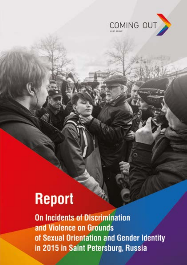

# **Report**

**On Incidents of Discrimination** and Violence on Grounds of Sexual Orientation and Gender Identity in 2015 in Saint Petersburg, Russia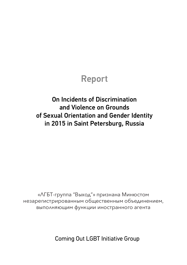### Report

On Incidents of Discrimination and Violence on Grounds of Sexual Orientation and Gender Identity in 2015 in Saint Petersburg, Russia

«ЛГБТ-группа "Выход"» признана Минюстом незарегистрированным общественным объединением, выполняющим функции иностранного агента

Coming Out LGBT Initiative Group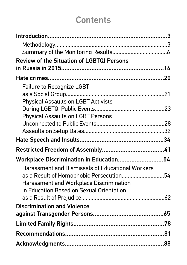# **Contents**

| <b>Review of the Situation of LGBTQI Persons</b>        |  |
|---------------------------------------------------------|--|
|                                                         |  |
|                                                         |  |
| Failure to Recognize LGBT                               |  |
|                                                         |  |
| <b>Physical Assaults on LGBT Activists</b>              |  |
|                                                         |  |
| <b>Physical Assaults on LGBT Persons</b>                |  |
|                                                         |  |
|                                                         |  |
|                                                         |  |
|                                                         |  |
| Workplace Discrimination in Education54                 |  |
| <b>Harassment and Dismissals of Educational Workers</b> |  |
| as a Result of Homophobic Persecution54                 |  |
| <b>Harassment and Workplace Discrimination</b>          |  |
| in Education Based on Sexual Orientation                |  |
|                                                         |  |
| <b>Discrimination and Violence</b>                      |  |
|                                                         |  |
|                                                         |  |
|                                                         |  |
|                                                         |  |
|                                                         |  |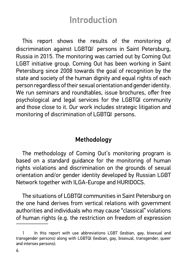# Introduction

This report shows the results of the monitoring of discrimination against LGBTQI<sup>1</sup> persons in Saint Petersburg, Russia in 2015. The monitoring was carried out by Coming Out LGBT initiative group. Coming Out has been working in Saint Petersburg since 2008 towards the goal of recognition by the state and society of the human dignity and equal rights of each person regardless of their sexual orientation and gender identity. We run seminars and roundtables, issue brochures, offer free psychological and legal services for the LGBTQI community and those close to it. Our work includes strategic litigation and monitoring of discrimination of LGBTQI persons.

### Methodology

The methodology of Coming Out's monitoring program is based on a standard guidance for the monitoring of human rights violations and discrimination on the grounds of sexual orientation and/or gender identity developed by Russian LGBT Network together with ILGA-Europe and HURIDOCS.

The situations of LGBTQI communities in Saint Petersburg on the one hand derives from vertical relations with government authorities and individuals who may cause "classical" violations of human rights (e.g. the restriction on freedom of expression

In this report with use abbreviations LGBT (lesbian, gay, bisexual and transgender persons) along with LGBTQI (lesbian, gay, bisexual, transgender, queer and intersex persons).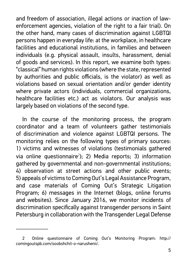and freedom of association, illegal actions or inaction of lawenforcement agencies, violation of the right to a fair trial). On the other hand, many cases of discrimination against LGBTQI persons happen in everyday life: at the workplace, in healthcare facilities and educational institutions, in families and between individuals (e.g. physical assault, insults, harassment, denial of goods and services). In this report, we examine both types: "classical" human rights violations (where the state, represented by authorities and public officials, is the violator) as well as violations based on sexual orientation and/or gender identity where private actors (individuals, commercial organizations, healthcare facilities etc.) act as violators. Our analysis was largely based on violations of the second type.

In the course of the monitoring process, the program coordinator and a team of volunteers gather testimonials of discrimination and violence against LGBTQI persons. The monitoring relies on the following types of primary sources: 1) victims and witnesses of violations (testimonials gathered via online questionnaire<sup>2</sup>); 2) Media reports; 3) information gathered by governmental and non-governmental institutions; 4) observation at street actions and other public events; 5) appeals of victims to Coming Out's Legal Assistance Program, and case materials of Coming Out's Strategic Litigation Program; 6) messages in the Internet (blogs, online forums and websites). Since January 2016, we monitor incidents of discrimination specifically against transgender persons in Saint Petersburg in collaboration with the Transgender Legal Defense

<sup>2</sup> Online questionnaire of Coming Out's Monitoring Program: http:// comingoutspb.com/soobshchit-o-narushenii/.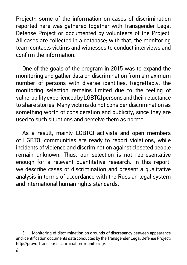Project $3$ ; some of the information on cases of discrimination reported here was gathered together with Transgender Legal Defense Project or documented by volunteers of the Project. All cases are collected in a database; with that, the monitoring team contacts victims and witnesses to conduct interviews and confirm the information.

One of the goals of the program in 2015 was to expand the monitoring and gather data on discrimination from a maximum number of persons with diverse identities. Regrettably, the monitoring selection remains limited due to the feeling of vulnerability experienced by LGBTQI persons and their reluctance to share stories. Many victims do not consider discrimination as something worth of consideration and publicity, since they are used to such situations and perceive them as normal.

As a result, mainly LGBTQI activists and open members of LGBTQI communities are ready to report violations, while incidents of violence and discrimination against closeted people remain unknown. Thus, our selection is not representative enough for a relevant quantitative research. In this report, we describe cases of discrimination and present a qualitative analysis in terms of accordance with the Russian legal system and international human rights standards.

<sup>3</sup> Monitoring of discrimination on grounds of discrepancy between appearance and identification documents data conducted by the Transgender Legal Defense Project: http://pravo-trans.eu/ discrimination-monitoring/.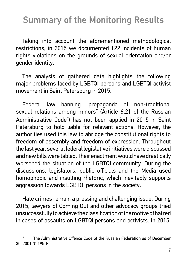# Summary of the Monitoring Results

Taking into account the aforementioned methodological restrictions, in 2015 we documented 122 incidents of human rights violations on the grounds of sexual orientation and/or gender identity.

The analysis of gathered data highlights the following major problems faced by LGBTQI persons and LGBTQI activist movement in Saint Petersburg in 2015.

Federal law banning "propaganda of non-traditional sexual relations among minors" (Article 6.21 of the Russian Administrative Code<sup>4</sup>) has not been applied in 2015 in Saint Petersburg to hold liable for relevant actions. However, the authorities used this law to abridge the constitutional rights to freedom of assembly and freedom of expression. Throughout the last year, several federal legislative initiatives were discussed and new bills were tabled. Their enactment would have drastically worsened the situation of the LGBTQI community. During the discussions, legislators, public officials and the Media used homophobic and insulting rhetoric, which inevitably supports aggression towards LGBTQI persons in the society.

Hate crimes remain a pressing and challenging issue. During 2015, lawyers of Coming Out and other advocacy groups tried unsuccessfully to achieve the classification of the motive of hatred in cases of assaults on LGBTQI persons and activists. In 2015,

The Administrative Offence Code of the Russian Federation as of December 30, 2001 № 195-FL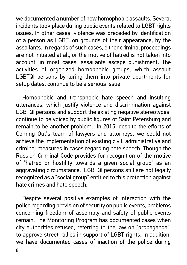we documented a number of new homophobic assaults. Several incidents took place during public events related to LGBT rights issues. In other cases, violence was preceded by identification of a person as LGBT, on grounds of their appearance, by the assailants. In regards of such cases, either criminal proceedings are not initiated at all, or the motive of hatred is not taken into account; in most cases, assailants escape punishment. The activities of organized homophobic groups, which assault LGBTQI persons by luring them into private apartments for setup dates, continue to be a serious issue.

Homophobic and transphobic hate speech and insulting utterances, which justify violence and discrimination against LGBTQI persons and support the existing negative stereotypes, continue to be voiced by public figures of Saint Petersburg and remain to be another problem. In 2015, despite the efforts of Coming Out's team of lawyers and attorneys, we could not achieve the implementation of existing civil, administrative and criminal measures in cases regarding hate speech. Though the Russian Criminal Code provides for recognition of the motive of "hatred or hostility towards a given social group" as an aggravating circumstance, LGBTQI persons still are not legally recognized as a "social group" entitled to this protection against hate crimes and hate speech.

Despite several positive examples of interaction with the police regarding provision of security on public events, problems concerning freedom of assembly and safety of public events remain. The Monitoring Program has documented cases when city authorities refused, referring to the law on "propaganda", to approve street rallies in support of LGBT rights. In addition, we have documented cases of inaction of the police during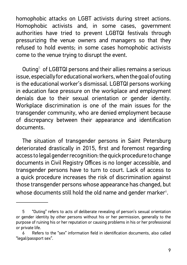homophobic attacks on LGBT activists during street actions. Homophobic activists and, in some cases, government authorities have tried to prevent LGBTQI festivals through pressurizing the venue owners and managers so that they refused to hold events; in some cases homophobic activists come to the venue trying to disrupt the event.

Outing $^{\rm 5}$  of LGBTQI persons and their allies remains a serious issue, especially for educational workers, when the goal of outing is the educational worker's dismissal. LGBTQI persons working in education face pressure on the workplace and employment denials due to their sexual orientation or gender identity. Workplace discrimination is one of the main issues for the transgender community, who are denied employment because of discrepancy between their appearance and identification documents.

The situation of transgender persons in Saint Petersburg deteriorated drastically in 2015, first and foremost regarding access to legal gender recognition: the quick procedure to change documents in Civil Registry Offices is no longer accessible, and transgender persons have to turn to court. Lack of access to a quick procedure increases the risk of discrimination against those transgender persons whose appearance has changed, but whose documents still hold the old name and gender marker $\delta.$ 

<sup>5</sup> "Outing" refers to acts of deliberate revealing of person's sexual orientation or gender identity by other persons without his or her permission, generally to the purpose of ruining his or her reputation or causing problems in his or her professional or private life.

<sup>6</sup> Refers to the "sex" information field in identification documents, also called "legal/passport sex".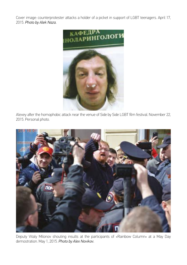Cover image: counterprotester attacks a holder of a picket in support of LGBT teenagers. April 17, 2015. *Photo by Alek Naza.*



Alexey after the homophobic attack near the venue of Side by Side LGBT film festival. November 22, 2015. Personal photo.



Deputy Vitaly Milonov shouting insults at the participants of «Rainbow Column» at a May Day demostration. May 1, 2015. *Photo by Alex Novikov.*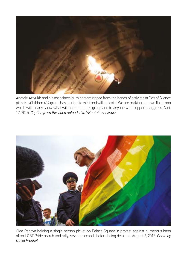

Anatoly Artyukh and his associates burn posters ripped from the hands of activists at Day of Silence pickets. «Children 404 group has no right to exist and will not exist. We are making our own flashmob which will clearly show what will happen to this group and to anyone who supports faggots». April 17, 2015. *Caption from the video uploaded to VKontakte network.*



Olga Panova holding a single person picket on Palace Square in protest against numerous bans of an LGBT Pride march and rally, several seconds before being detained. August 2, 2015. Photo by *David Frenkel.*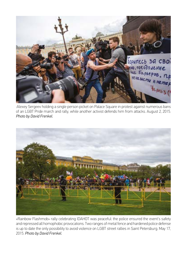

:Alexey Sergeev holding a single person picket on Palace Square in protest against numerous bans of an LGBT Pride march and rally, while another activist defends him from attacks. August 2, 2015. *Photo by David Frenkel.* 



«Rainbow Flashmob» rally celebrating IDAHOT was peaceful: the police ensured the event's safety and repressed all homophobic provocations. Two ranges of metal fence and hardened police defense is up to date the only possibility to avoid violence on LGBT street rallies in Saint Petersburg. May 17, 2015. *Photo by David Frenkel.*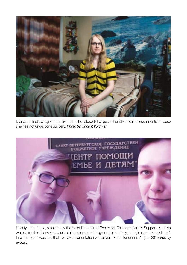

Diana, the first transgender individual to be refused changes to her identification documents because she has not undergone surgery. *Photo by Vincent Voignier.* 



Kseniya and Elena, standing by the Saint Petersburg Center for Child and Family Support. Kseniya was denied the license to adopt a child, officially on the ground of her "psychological unpreparedness". Informally she was told that her sexual orientation was a real reason for denial. August 2015, *Family archive.*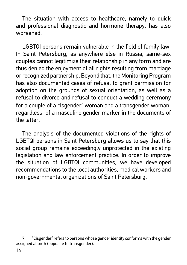The situation with access to healthcare, namely to quick and professional diagnostic and hormone therapy, has also worsened.

LGBTQI persons remain vulnerable in the field of family law. In Saint Petersburg, as anywhere else in Russia, same-sex couples cannot legitimize their relationship in any form and are thus denied the enjoyment of all rights resulting from marriage or recognized partnership. Beyond that, the Monitoring Program has also documented cases of refusal to grant permission for adoption on the grounds of sexual orientation, as well as a refusal to divorce and refusal to conduct a wedding ceremony for a couple of a cisgender $^7$  woman and a transgender woman, regardless of a masculine gender marker in the documents of the latter.

The analysis of the documented violations of the rights of LGBTQI persons in Saint Petersburg allows us to say that this social group remains exceedingly unprotected in the existing legislation and law enforcement practice. In order to improve the situation of LGBTQI communities, we have developed recommendations to the local authorities, medical workers and non-governmental organizations of Saint Petersburg.

<sup>7</sup> "Cisgender" refers to persons whose gender identity conforms with the gender assigned at birth (opposite to transgender).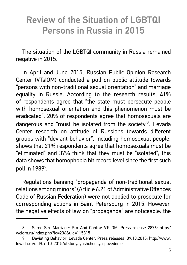# Review of the Situation of LGBTQI Persons in Russia in 2015

The situation of the LGBTQI community in Russia remained negative in 2015.

In April and June 2015, Russian Public Opinion Research Center (VTsIOM) conducted a poll on public attitude towards "persons with non-traditional sexual orientation" and marriage equality in Russia. According to the research results, 41% of respondents agree that "the state must persecute people with homosexual orientation and this phenomenon must be eradicated". 20% of respondents agree that homosexuals are dangerous and "must be isolated from the society"<sup>8</sup>. Levada Center research on attitude of Russians towards different groups with "deviant behavior", including homosexual people, shows that 21% respondents agree that homosexuals must be "eliminated" and 37% think that they must be "isolated"; this data shows that homophobia hit record level since the first such poll in 1989 $^{\circ}$ .

Regulations banning "propaganda of non-traditional sexual relations among minors" (Article 6.21 of Administrative Offences Code of Russian Federation) were not applied to prosecute for corresponding actions in Saint Petersburg in 2015. However, the negative effects of law on "propaganda" are noticeable: the

<sup>8</sup> Same-Sex Marriage: Pro And Contra: VTsIOM. Press-release 2876: http:// wciom.ru/index.php?id=236&uid=115315

<sup>9</sup> Deviating Behavior. Levada Center. Press releases. 09.10.2015: http://www. levada.ru/old/09-10-2015/otklonyayushcheesya-povedenie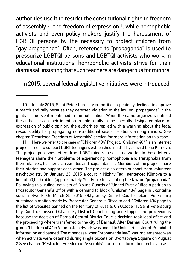authorities use it to restrict the constitutional rights to freedom of assembly<sup>10</sup> and freedom of expression<sup>11</sup>, while homophobic activists and even policy-makers justify the harassment of LGBTQI persons by the necessity to protect children from "gay propaganda". Often, reference to "propaganda" is used to pressurize LGBTQI persons and LGBTQI activists who work in educational institutions: homophobic activists strive for their dismissal, insisting that such teachers are dangerous for minors.

In 2015, several federal legislative initiatives were introduced.

<sup>10</sup> In July 2015, Saint Petersburg city authorities repeatedly declined to approve a march and rally because they detected violation of the law on "propaganda" in the goals of the event mentioned in the notification. When the same organizers notified the authorities on their intention to hold a rally in the specially designated place for expression of public opinion, the authorities replied with a warning about the legal responsibility for propagating non-traditional sexual relations among minors. See chapter "Restricted Freedom of Assembly" section for more information on this case.

<sup>11</sup> Here we refer to the case of "Children 404" Project. "Children 404" is an Internet project aimed to support LGBT teenagers established in 2011 by activist Lena Klimova. The project publishes letters from LGBT minors in social networks. In these letters, teenagers share their problems of experiencing homophobia and transphobia from their relatives, teachers, classmates and acquaintances. Members of the project share their stories and support each other. The project also offers support from volunteer psychologists. On January 23, 2015 a court in Nizhny Tagil sentenced Klimova to a fine of 50,000 rubles (approximately 700 Euro) for violating the law on "propaganda". Following this ruling, activists of "Young Guards of "United Russia" filed a petition to Prosecutor General's Office with a demand to block "Children 404" page in Vkontakte social network. On March 25, 2015, Oktyabrsky District Court of Saint Petersburg sustained a motion made by Prosecutor General's Office to add "Children 404 page to the list of websites banned on the territory of Russia. On October 1, Saint Petersburg City Court dismissed Oktyabrsky District Court ruling and stopped the proceedings because the decision of Barnaul Central District Court's decision took legal effect and the proceeding where transferred to the city of Barnaul. After Barnaul Court ruling the group "Children 404" in Vkontakte network was added to Unified Register of Prohibited Information and banned. The other case when "propaganda law" was implemented was when activists were detained during single pickets on Dvortsovaya Square on August 2.See chapter "Restricted Freedom of Assembly" for more information on this case.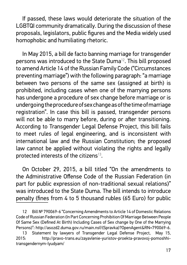If passed, these laws would deteriorate the situation of the LGBTQI community dramatically. During the discussion of these proposals, legislators, public figures and the Media widely used homophobic and humiliating rhetoric.

In May 2015, a bill de facto banning marriage for transgender persons was introduced to the State Duma<sup>12</sup>. This bill proposed to amend Article 14 of the Russian Family Code ("Circumstances preventing marriage") with the following paragraph: "a marriage between two persons of the same sex (assigned at birth) is prohibited, including cases when one of the marrying persons has undergone a procedure of sex change before marriage or is undergoing the procedure of sex change as of the time of marriage registration". In case this bill is passed, transgender persons will not be able to marry before, during or after transitioning. According to Transgender Legal Defense Project, this bill fails to meet rules of legal engineering, and is inconsistent with international law and the Russian Constitution; the proposed law cannot be applied without violating the rights and legally protected interests of the citizens $13$ .

On October 29, 2015, a bill titled "On the amendments to the Administrative Offense Code of the Russian Federation (in part for public expression of non-traditional sexual relations)" was introduced to the State Duma. The bill intends to introduce penalty (fines from 4 to 5 thousand rubles (65 Euro) for public

<sup>12</sup> Bill № 790069-6 "Concerning Amendments to Article 14 of Domestic Relations Code of Russian Federation (In Part Concerning Prohibition Of Marriage Between People Of Same Sex (Defined At Birth) Including Cases of Sex change by One of the Marrying Persons)": http://asozd2.duma.gov.ru/main.nsf/(Spravka)?OpenAgent&RN=790069-6.

<sup>13</sup> Statement by lawyers of Transgender Legal Defense Project, May 15, 2015: http://pravo-trans.eu/zayavlenie-yuristov-proekta-pravovoj-pomoshhitransgendernym-lyudyam/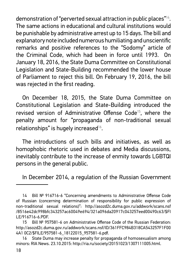demonstration of "perverted sexual attraction in public places"<sup>14</sup>. The same actions in educational and cultural institutions would be punishable by administrative arrest up to 15 days. The bill and explanatory note included numerous humiliating and unscientific remarks and positive references to the "Sodomy" article of the Criminal Code, which had been in force until 1993. On January 18, 2016, the State Duma Committee on Constitutional Legislation and State-Building recommended the lower house of Parliament to reject this bill. On February 19, 2016, the bill was rejected in the first reading.

On December 18, 2015, the State Duma Committee on Constitutional Legislation and State-Building introduced the revised version of Administrative Offense Code<sup>15</sup>, where the penalty amount for "propaganda of non-traditional sexual relationships" is hugely increased $16$ .

The introductions of such bills and initiatives, as well as homophobic rhetoric used in debates and Media discussions, inevitably contribute to the increase of enmity towards LGBTQI persons in the general public.

In December 2014, a regulation of the Russian Government

<sup>14</sup> Bill № 916716-6 "Concerning amendments to Administrative Offense Code of Russian (concerning determination of responsibility for public expression of non-traditional sexual relations)": http://asozd2c.duma.gov.ru/addwork/scans.nsf /8516e42dc998bfc343257ac60049e694/321a096da20917c043257eed00490c63/\$FI LE/916716-6.PDF.

<sup>15</sup> Bill Nº 957581-6 on Administrative Offense Code of the Russian Federation: http://asozd2c.duma.gov.ru/addwork/scans.nsf/ID/361FFC984B318CA543257F1F00 4A1 0C2/\$FILE/957581-6\_18122015\_957581-6.pdf.

<sup>16</sup> State Duma may increase penalty for propaganda of homosexualism among minors: RIA News. 23.10.2015: http://ria.ru/society/20151023/1307111005.html.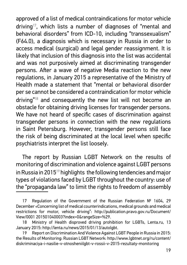approved of a list of medical contraindications for motor vehicle driving<sup>17</sup>, which lists a number of diagnoses of "mental and behavioral disorders" from ICD-10, including "transsexualism" (F64.0), a diagnosis which is necessary in Russia in order to access medical (surgical) and legal gender reassignment. It is likely that inclusion of this diagnosis into the list was accidental and was not purposively aimed at discriminating transgender persons. After a wave of negative Media reaction to the new regulations, in January 2015 a representative of the Ministry of Health made a statement that "mental or behavioral disorder per se cannot be considered a contraindication for motor vehicle driving"<sup>18</sup> and consequently the new list will not become an obstacle for obtaining driving licenses for transgender persons. We have not heard of specific cases of discrimination against transgender persons in connection with the new regulations in Saint Petersburg. However, transgender persons still face the risk of being discriminated at the local level when specific psychiatrists interpret the list loosely.

The report by Russian LGBT Network on the results of monitoring of discrimination and violence against LGBT persons in Russia in 2015 $19$  highlights the following tendencies and major types of violations faced by LGBT throughout the country: use of the "propaganda law" to limit the rights to freedom of assembly

<sup>17</sup> Regulation of the Government of the Russian Federation  $N<sup>°</sup>$  1604, 29 December «Concerning list of medical counterindications, medical grounds and medical restrictions for motor, vehicle driving": http://publication.pravo.gov.ru/Document/ View/0001 201501040003?index=0&rangeSize=%29.

<sup>18</sup> Ministry of Health disproved driving prohibition for LGBTs, Lenta.ru, 13 January 2015: http://lenta.ru/news/2015/01/13/autolgbt.

Report on Discrimination And Violence Against LGBT People in Russia in 2015: the Results of Monitoring: Russian LGBT Network: http://www.lgbtnet.org/ru/content/ diskriminaciya-i-nasilie-v-otnosheniilgbt-v-rossii-v-2015-rezultaty-monitoring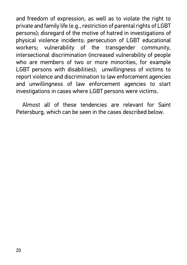and freedom of expression, as well as to violate the right to private and family life (e.g., restriction of parental rights of LGBT persons); disregard of the motive of hatred in investigations of physical violence incidents; persecution of LGBT educational workers; vulnerability of the transgender community, intersectional discrimination (increased vulnerability of people who are members of two or more minorities, for example LGBT persons with disabilities); unwillingness of victims to report violence and discrimination to law enforcement agencies and unwillingness of law enforcement agencies to start investigations in cases where LGBT persons were victims.

Almost all of these tendencies are relevant for Saint Petersburg, which can be seen in the cases described below.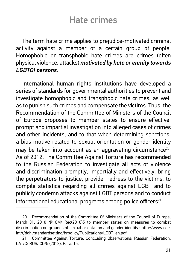### Hate crimes

The term hate crime applies to prejudice-motivated criminal activity against a member of a certain group of people. Homophobic or transphobic hate crimes are crimes (often physical violence, attacks) *motivated by hate or enmity towards LGBTQI persons*.

International human rights institutions have developed a series of standards for governmental authorities to prevent and investigate homophobic and transphobic hate crimes, as well as to punish such crimes and compensate the victims. Thus, the Recommendation of the Committee of Ministers of the Council of Europe proposes to member states to ensure effective, prompt and impartial investigation into alleged cases of crimes and other incidents, and to that when determining sanctions, a bias motive related to sexual orientation or gender identity may be taken into account as an aggravating circumstance<sup>20</sup>. As of 2012, The Committee Against Torture has recommended to the Russian Federation to investigate all acts of violence and discrimination promptly, impartially and effectively, bring the perpetrators to justice, provide redress to the victims, to compile statistics regarding all crimes against LGBT and to publicly condemn attacks against LGBT persons and to conduct informational educational programs among police officers $^{21}$ .

<sup>20</sup> Recommendation of the Committee Of Ministers of the Council of Europe, March 31, 2010  $N^{\circ}$  CM/ Rec(2010)5 to member states on measures to combat discrimination on grounds of sexual orientation and gender identity.: http://www.coe. int/t/dghl/standardsetting/hrpolicy/Publications/LGBT\_en.pdf

<sup>21</sup> Committee Against Torture. Concluding Observations: Russian Federation. CAT/C/ RUS/ CO/5 (2012). Para. 15.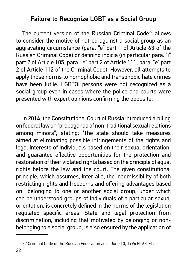### Failure to Recognize LGBT as a Social Group

The current version of the Russian Criminal Code<sup>22</sup> allows to consider the motive of hatred against a social group as an aggravating circumstance (para. "e" part 1 of Article 63 of the Russian Criminal Code) or defining indicia (in particular para. "i" part 2 of Article 105, para. "e" part 2 of Article 111, para. "e" part 2 of Article 112 of the Criminal Code). However, all attempts to apply those norms to homophobic and transphobic hate crimes have been futile. LGBTQI persons were not recognized as a social group even in cases where the police and courts were presented with expert opinions confirming the opposite.

In 2014, the Constitutional Court of Russia introduced a ruling on federal law on "propaganda of non-traditional sexual relations among minors", stating: 'The state should take measures aimed at eliminating possible infringements of the rights and legal interests of individuals based on their sexual orientation, and quarantee effective opportunities for the protection and restoration of their violated rights based on the principle of equal rights before the law and the court. The given constitutional principle, which assumes, inter alia, the inadmissibility of both restricting rights and freedoms and offering advantages based on belonging to one or another social group, under which can be understood groups of individuals of a particular sexual orientation, is concretely defined in the norms of the legislation regulated specific areas. State and legal protection from discrimination, including that motivated by belonging or nonbelonging to a social group, is also ensured by the application of

<sup>22</sup> Criminal Code of the Russian Federation as of June 13, 1996 № 63-FL.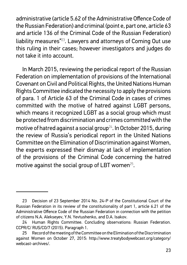administrative (article 5.62 of the Administrative Offence Code of the Russian Federation) and criminal (point e, part one, article 63 and article 136 of the Criminal Code of the Russian Federation) liability measures"<sup>23</sup>. Lawyers and attorneys of Coming Out use this ruling in their cases; however investigators and judges do not take it into account.

In March 2015, reviewing the periodical report of the Russian Federation on implementation of provisions of the International Covenant on Civil and Political Rights, the United Nations Human Rights Committee indicated the necessity to apply the provisions of para. 1 of Article 63 of the Criminal Code in cases of crimes committed with the motive of hatred against LGBT persons, which means it recognized LGBT as a social group which must be protected from discrimination and crimes committed with the motive of hatred against a social group<sup>24</sup>. In October 2015, during the review of Russia's periodical report in the United Nations Committee on the Elimination of Discrimination against Women, the experts expressed their dismay at lack of implementation of the provisions of the Criminal Code concerning the hatred motive against the social group of LBT women $25$ .

<sup>23</sup> Decision of 23 September 2014 No. 24-P of the Constitutional Court of the Russian Federation in its review of the constitutionality of part 1, article 6.21 of the Administrative Offence Code of the Russian Federation in connection with the petition of citizens N.A. Alekseyev, Y.N. Yevtushenko, and D.A. Isakov.

<sup>24</sup> Human Rights Committee. Concluding observations: Russian Federation. CCPR/C/ RUS/CO/7 (2015). Paragraph 1.

<sup>25</sup> Record of the meeting of the Committee on the Elimination of the Discrimination against Women on October 27, 2015: http://www.treatybodywebcast.org/category/ webcast-archives/.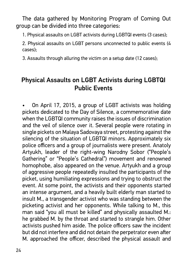The data gathered by Monitoring Program of Coming Out group can be divided into three categories:

1. Physical assaults on LGBT activists during LGBTQI events (3 cases);

2. Physical assaults on LGBT persons unconnected to public events (4 cases);

3. Assaults through alluring the victim on a setup date (12 cases);

### Physical Assaults on LGBT Activists during LGBTQI Public Events

• On April 17, 2015, a group of LGBT activists was holding pickets dedicated to the Day of Silence, a commemorative date when the LGBTQI community raises the issues of discrimination and the veil of silence over it. Several people were rotating in single pickets on Malaya Sadovaya street, protesting against the silencing of the situation of LGBTQI minors. Approximately six police officers and a group of journalists were present. Anatoly Artyukh, leader of the right-wing Narodny Sobor ("People's Gathering" or "People's Cathedral") movement and renowned homophobe, also appeared on the venue. Artyukh and a group of aggressive people repeatedly insulted the participants of the picket, using humiliating expressions and trying to obstruct the event. At some point, the activists and their opponents started an intense argument, and a heavily built elderly man started to insult M., a transgender activist who was standing between the picketing activist and her opponents. While talking to M., this man said "you all must be killed" and physically assaulted M.: he grabbed M. by the throat and started to strangle him. Other activists pushed him aside. The police officers saw the incident but did not interfere and did not detain the perpetrator even after M. approached the officer, described the physical assault and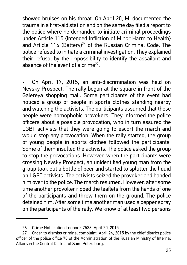showed bruises on his throat. On April 20, M. documented the trauma in a first-aid station and on the same day filed a report to the police where he demanded to initiate criminal proceedings under Article 115 (Intended Infliction of Minor Harm to Health) and Article 116 (Battery)<sup>26</sup> of the Russian Criminal Code. The police refused to initiate a criminal investigation. They explained their refusal by the impossibility to identify the assailant and absence of the event of a crime<sup>27</sup>.

• On April 17, 2015, an anti-discrimination was held on Nevsky Prospect. The rally began at the square in front of the Galereya shopping mall. Some participants of the event had noticed a group of people in sports clothes standing nearby and watching the activists. The participants assumed that these people were homophobic provokers. They informed the police officers about a possible provocation, who in turn assured the LGBT activists that they were going to escort the march and would stop any provocation. When the rally started, the group of young people in sports clothes followed the participants. Some of them insulted the activists. The police asked the group to stop the provocations. However, when the participants were crossing Nevsky Prospect, an unidentified young man from the group took out a bottle of beer and started to splutter the liquid on LGBT activists. The activists seized the provoker and handed him over to the police. The march resumed. However, after some time another provoker ripped the leaflets from the hands of one of the participants and threw them on the ground. The police detained him. After some time another man used a pepper spray on the participants of the rally. We know of at least two persons

<sup>26</sup> Crime Notification Logbook 7538, April 20, 2015.

<sup>27</sup> Order to dismiss criminal complaint, April 24, 2015 by the chief district police officer of the police office 78 of the Administration of the Russian Ministry of Internal Affairs in the Central District of Saint Petersburg.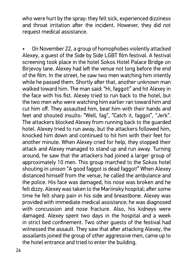who were hurt by the spray: they felt sick, experienced dizziness and throat irritation after the incident. However, they did not request medical assistance.

• On November 22, a group of homophobes violently attacked Alexey, a guest of the Side by Side LGBT film festival. A festival screening took place in the hotel Sokos Hotel Palace Bridge on Birjevoy lane. Alexey had left the venue not long before the end of the film. In the street, he saw two men watching him intently while he passed them. Shortly after that, another unknown man walked toward him. The man said: "Hi, faggot!" and hit Alexey in the face with his fist. Alexey tried to run back to the hotel, but the two men who were watching him earlier ran toward him and cut him off. They assaulted him, beat him with their hands and feet and shouted insults: "Well, fag", "Catch it, faggot", "Jerk". The attackers blocked Alexey from running back to the guarded hotel. Alexey tried to run away, but the attackers followed him, knocked him down and continued to hit him with their feet for another minute. When Alexey cried for help, they stopped their attack and Alexey managed to stand up and run away. Turning around, he saw that the attackers had joined a larger group of approximately 10 men. This group marched to the Sokos hotel shouting in unison "A good faggot is dead faggot!" When Alexey distanced himself from the venue, he called the ambulance and the police. His face was damaged, his nose was broken and he felt dizzy. Alexey was taken to the Mariinsky hospital; after some time he felt sharp pain in his side and breastbone. Alexey was provided with immediate medical assistance; he was diagnosed with concussion and nose fracture. Also, his kidneys were damaged. Alexey spent two days in the hospital and a week in strict bed confinement. Two other quests of the festival had witnessed the assault. They saw that after attacking Alexey, the assailants joined the group of other aggressive men, came up to the hotel entrance and tried to enter the building.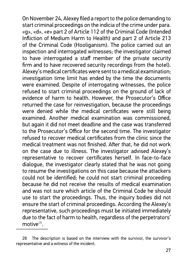On November 24, Alexey filed a report to the police demanding to start criminal proceedings on the indicia of the crime under para. «g», «d», «e» part 2 of Article 112 of the Criminal Code (Intended Infliction of Medium Harm to Health) and part 2 of Article 213 of the Criminal Code (Hooliganism). The police carried out an inspection and interrogated witnesses; the investigator claimed to have interrogated a staff member of the private security firm and to have recovered security recordings from the hotel). Alexey's medical certificates were sent to a medical examination; investigation time limit has ended by the time the documents were examined. Despite of interrogating witnesses, the police refused to start criminal proceedings on the ground of lack of evidence of harm to health. However, the Prosecutor's Office returned the case for reinvestigation, because the proceedings were denied while the medical certificates were still being examined. Another medical examination was commissioned, but again it did not meet deadline and the case was transferred to the Prosecutor's Office for the second time. The investigator refused to recover medical certificates from the clinic since the medical treatment was not finished. After that, he did not work on the case due to illness. The investigator advised Alexey's representative to recover certificates herself. In face-to-face dialogue, the investigator clearly stated that he was not going to resume the investigations on this case because the attackers could not be identified; he could not start criminal proceeding because he did not receive the results of medical examination and was not sure which article of the Criminal Code he should use to start the proceedings. Thus, the inquiry bodies did not ensure the start of criminal proceedings. According the Alexey's representative, such proceedings must be initiated immediately due to the fact of harm to health, regardless of the perpetrators' motive<sup>28</sup>

<sup>28</sup> The description is based on the interview with the survivor, the survivor's representative and a witness of the incident.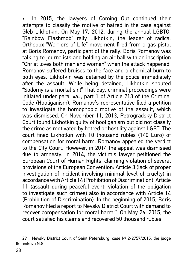In 2015, the lawyers of Coming Out continued their attempts to classify the motive of hatred in the case against Gleb Likhotkin. On May 17, 2012, during the annual LGBTQI "Rainbow Flashmob" rally Likhotkin, the leader of radical Orthodox "Warriors of Life" movement fired from a gas pistol at Boris Romanov, participant of the rally. Boris Romanov was talking to journalists and holding an air ball with an inscription "Christ loves both men and women" when the attack happened. Romanov suffered bruises to the face and a chemical burn to both eyes. Likhotkin was detained by the police immediately after the assault. While being detained, Likhotkin shouted "Sodomy is a mortal sin!" That day, criminal proceedings were initiated under para. «a», part 1 of Article 213 of the Criminal Code (Hooliganism). Romanov's representative filed a petition to investigate the homophobic motive of the assault, which was dismissed. On November 11, 2013, Petrogradsky District Court found Likhotkin guilty of hooliganism but did not classify the crime as motivated by hatred or hostility against LGBT. The court fined Likhotkin with 10 thousand rubles (140 Euro) of compensation for moral harm. Romanov appealed the verdict to the City Court. However, in 2014 the appeal was dismissed due to amnesty. In 2014, the victim's lawyer petitioned the European Court of Human Rights, claiming violation of several provisions of the European Convention: Article 3 (lack of proper investigation of incident involving minimal level of cruelty) in accordance with Article 14 (Prohibition of Discrimination); Article 11 (assault during peaceful event; violation of the obligation to investigate such crimes) also in accordance with Article 14 (Prohibition of Discrimination). In the beginning of 2015, Boris Romanov filed a report to Nevsky District Court with demand to recover compensation for moral harm<sup>29</sup>. On May 26, 2015, the court satisfied his claims and recovered 50 thousand rubles

<sup>29</sup> Nevsky District Court of Saint Petersburg, case № 2-2757/2015, the judge Ikonnikova N.G.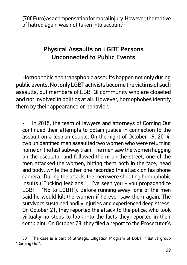(700 Euro) as a compensation for moral injury. However, the motive of hatred again was not taken into account $30$ .

### Physical Assaults on LGBT Persons Unconnected to Public Events

Homophobic and transphobic assaults happen not only during public events. Not only LGBT activists become the victims of such assaults, but members of LGBTQI community who are closeted and not involved in politics at all. However, homophobes identify them by their appearance or behavior.

• In 2015, the team of lawyers and attorneys of Coming Out continued their attempts to obtain justice in connection to the assault on a lesbian couple. On the night of October 19, 2014, two unidentified men assaulted two women who were returning home on the last subway train. The men saw the women hugging on the escalator and followed them; on the street, one of the men attacked the women, hitting them both in the face, head and body, while the other one recorded the attack on his phone camera. During the attack, the men were shouting homophobic insults ("Fucking lesbians!", "I've seen you - you propagandize LGBT!", "No to LGBT!"). Before running away, one of the men said he would kill the women if he ever saw them again. The survivors sustained bodily injuries and experienced deep stress. On October 21, they reported the attack to the police, who took virtually no steps to look into the facts they reported in their complaint. On October 28, they filed a report to the Prosecutor's

<sup>30</sup> The case is a part of Strategic Litigation Program of LGBT initiative group "Coming Out".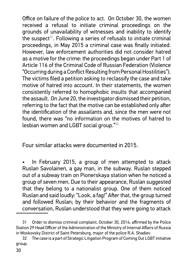Office on failure of the police to act. On October 30, the women received a refusal to initiate criminal proceedings on the grounds of unavailability of witnesses and inability to identify the suspect<sup>31</sup>. Following a series of refusals to initiate criminal proceedings, in May 2015 a criminal case was finally initiated. However, law enforcement authorities did not consider hatred as a motive for the crime: the proceedings began under Part 1 of Article 116 of the Criminal Code of Russian Federation (Violence "Occurring during a Conflict Resulting from Personal Hostilities"). The victims filed a petition asking to reclassify the case and take motive of hatred into account. In their statements, the women consistently referred to homophobic insults that accompanied the assault. On June 20, the investigator dismissed their petition, referring to the fact that the motive can be established only after the identification of the assailants and, since the men were not found, there was "no information on the motives of hatred to lesbian women and LGBT social group."<sup>32</sup>

Four similar attacks were documented in 2015.

In February 2015, a group of men attempted to attack Ruslan Savolainen, a gay man, in the subway. Ruslan stepped out of a subway train on Pionerskaya station when he noticed a group of seven men. Due to their appearance, Ruslan suggested that they belong to a nationalist group. One of them noticed Ruslan and said loudly: "Look, a fag!" After that, the group turned and followed Ruslan; by their behavior and the fragments of conversation, Ruslan understood that they were going to attack

<sup>31</sup> Order to dismiss criminal complaint, October 30, 2014, affirmed by the Police Station 29 Head Officer of the Administration of the Ministry of Internal Affairs of Russia in Moskovsky District of Saint Petersburg, major of the police R.A. Shadiev.

<sup>32</sup> The case is a part of Strategic Litigation Program of Coming Out LGBT initiative group.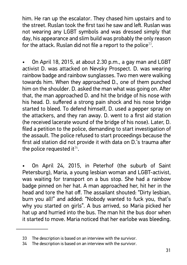him. He ran up the escalator. They chased him upstairs and to the street. Ruslan took the first taxi he saw and left. Ruslan was not wearing any LGBT symbols and was dressed simply that day, his appearance and slim build was probably the only reason for the attack. Ruslan did not file a report to the police<sup>33</sup>.

• On April 18, 2015, at about 2.30 p.m., a gay man and LGBT activist D. was attacked on Nevsky Prospect. D. was wearing rainbow badge and rainbow sunglasses. Two men were walking towards him. When they approached D., one of them punched him on the shoulder. D. asked the man what was going on. After that, the man approached D. and hit the bridge of his nose with his head. D. suffered a strong pain shock and his nose bridge started to bleed. To defend himself, D. used a pepper spray on the attackers, and they ran away. D. went to a first aid station (he received lacerate wound of the bridge of his nose). Later, D. filed a petition to the police, demanding to start investigation of the assault. The police refused to start proceedings because the first aid station did not provide it with data on D.'s trauma after the police requested it  $34$ .

• On April 24, 2015, in Peterhof (the suburb of Saint Petersburg), Maria, a young lesbian woman and LGBT-activist, was waiting for transport on a bus stop. She had a rainbow badge pinned on her hat. A man approached her, hit her in the head and tore the hat off. The assailant shouted: "Dirty lesbian, burn you all!" and added: "Nobody wanted to fuck you, that's why you started on girls". A bus arrived, so Maria picked her hat up and hurried into the bus. The man hit the bus door when it started to move. Maria noticed that her earlobe was bleeding.

<sup>33</sup> The description is based on an interview with the survivor.

<sup>34</sup> The description is based on an interview with the survivor.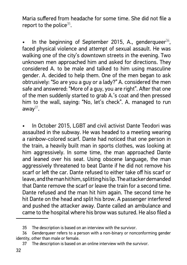Maria suffered from headache for some time. She did not file a report to the police $35$ .

In the beginning of September 2015, A., genderqueer<sup>36</sup>, faced physical violence and attempt of sexual assault. He was walking one of the city's downtown streets in the evening. Two unknown men approached him and asked for directions. They considered A. to be male and talked to him using masculine gender. A. decided to help them. One of the men began to ask obtrusively: "So are you a guy or a lady?" A. considered the men safe and answered: "More of a guy, you are right". After that one of the men suddenly started to grab A.'s coat and then pressed him to the wall, saying: "No, let's check". A. managed to run  $a$ way $37$ .

• In October 2015, LGBT and civil activist Dante Teodori was assaulted in the subway. He was headed to a meeting wearing a rainbow-colored scarf. Dante had noticed that one person in the train, a heavily built man in sports clothes, was looking at him aggressively. In some time, the man approached Dante and leaned over his seat. Using obscene language, the man aggressively threatened to beat Dante if he did not remove his scarf or left the car. Dante refused to either take off his scarf or leave, and the man hit him, splitting his lip. The attacker demanded that Dante remove the scarf or leave the train for a second time. Dante refused and the man hit him again. The second time he hit Dante on the head and split his brow. A passenger interfered and pushed the attacker away. Dante called an ambulance and came to the hospital where his brow was sutured. He also filed a

<sup>35</sup> The description is based on an interview with the survivor.

<sup>36</sup> Genderqueer refers to a person with a non-binary or nonconforming gender identity, other than male or female.

<sup>37</sup> The description is based on an online interview with the survivor.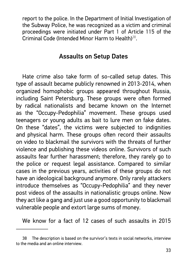report to the police. In the Department of Initial Investigation of the Subway Police, he was recognized as a victim and criminal proceedings were initiated under Part 1 of Article 115 of the Criminal Code (Intended Minor Harm to Health)<sup>38</sup>.

#### Assaults on Setup Dates

Hate crime also take form of so-called setup dates. This type of assault became publicly renowned in 2013-2014, when organized homophobic groups appeared throughout Russia, including Saint Petersburg. These groups were often formed by radical nationalists and became known on the Internet as the "Occupy-Pedophilia" movement. These groups used teenagers or young adults as bait to lure men on fake dates. On these "dates", the victims were subjected to indignities and physical harm. These groups often record their assaults on video to blackmail the survivors with the threats of further violence and publishing these videos online. Survivors of such assaults fear further harassment; therefore, they rarely go to the police or request legal assistance. Compared to similar cases in the previous years, activities of these groups do not have an ideological background anymore. Only rarely attackers introduce themselves as "Occupy-Pedophilia" and they never post videos of the assaults in nationalistic groups online. Now they act like a gang and just use a good opportunity to blackmail vulnerable people and extort large sums of money.

We know for a fact of 12 cases of such assaults in 2015

<sup>38</sup> The description is based on the survivor's texts in social networks, interview to the media and an online interview.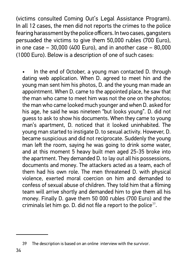(victims consulted Coming Out's Legal Assistance Program). In all 12 cases, the men did not reports the crimes to the police fearing harassment by the police officers. In two cases, gangsters persuaded the victims to give them 50,000 rubles (700 Euro), in one case – 30,000 (400 Euro), and in another case – 80,000 (1000 Euro). Below is a description of one of such cases:

In the end of October, a young man contacted D. through dating web application. When D. agreed to meet hin and the young man sent him his photos, D. and the young man made an appointment. When D. came to the appointed place, he saw that the man who came to meet him was not the one on the photos; the man who came looked much younger and when D. asked for his age, he said he was nineteen "but looks young". D. did not guess to ask to show his documents. When they came to young man's apartment, D. noticed that it looked uninhabited. The young man started to instigate D. to sexual activity. However, D. became suspicious and did not reciprocate. Suddenly the young man left the room, saying he was going to drink some water, and at this moment 5 heavy built men aged 25-35 broke into the apartment. They demanded D. to lay out all his possessions, documents and money. The attackers acted as a team, each of them had his own role. The men threatened D. with physical violence, exerted moral coercion on him and demanded to confess of sexual abuse of children. They told him that a filming team will arrive shortly and demanded him to give them all his money. Finally D. gave them 50 000 rubles (700 Euro) and the criminals let him go. D. did not file a report to the police<sup>39</sup>.

The description is based on an online interview with the survivor.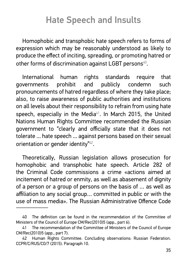# Hate Speech and Insults

Homophobic and transphobic hate speech refers to forms of expression which may be reasonably understood as likely to produce the effect of inciting, spreading, or promoting hatred or other forms of discrimination against LGBT persons<sup>40</sup>.

International human rights standards require that governments prohibit and publicly condemn such pronouncements of hatred regardless of where they take place; also, to raise awareness of public authorities and institutions on all levels about their responsibility to refrain from using hate speech, especially in the Media $41$ . In March 2015, the United Nations Human Rights Committee recommended the Russian government to "clearly and officially state that it does not tolerate ... hate speech ... against persons based on their sexual orientation or gender identity"<sup>42</sup>.

Theoretically, Russian legislation allows prosecution for homophobic and transphobic hate speech. Article 282 of the Criminal Code commissions a crime «actions aimed at incitement of hatred or enmity, as well as abasement of dignity of a person or a group of persons on the basis of … as well as affiliation to any social group... committed in public or with the use of mass media». The Russian Administrative Offence Code

<sup>40</sup> The definition can be found in the recommendation of the Committee of Ministers of the Council of Europe CM/Rec(2010)5 (app., part 6).

<sup>41</sup> The recommendation of the Committee of Ministers of the Council of Europe CM/Rec(2010)5 (app., part 7).

<sup>42</sup> Human Rights Committee. Concluding observations: Russian Federation. CCPR/C/RUS/CO/7 (2015). Paragraph 10.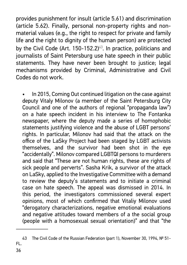provides punishment for insult (article 5.61) and discrimination (article 5.62). Finally, personal non-property rights and nonmaterial values (e.g., the right to respect for private and family life and the right to dignity of the human person) are protected by the Civil Code (Art.  $150-152.2$ )<sup>43</sup>. In practice, politicians and journalists of Saint Petersburg use hate speech in their public statements. They have never been brought to justice; legal mechanisms provided by Criminal, Administrative and Civil Codes do not work.

In 2015, Coming Out continued litigation on the case against deputy Vitaly Milonov (a member of the Saint Petersburg City Council and one of the authors of regional "propaganda law") on a hate speech incident in his interview to The Fontanka newspaper, where the deputy made a series of homophobic statements justifying violence and the abuse of LGBT persons' rights. In particular, Milonov had said that the attack on the office of the LaSky Project had been staged by LGBT activists themselves, and the survivor had been shot in the eye "accidentally". Milonov compared LGBTQI persons to murderers and said that "These are not human rights, these are rights of sick people and perverts". Sasha Krik, a survivor of the attack on LaSky, applied to the Investigative Committee with a demand to review the deputy's statements and to initiate a criminal case on hate speech. The appeal was dismissed in 2014. In this period, the investigators commissioned several expert opinions, most of which confirmed that Vitaliy Milonov used "derogatory characterizations, negative emotional evaluations and negative attitudes toward members of a the social group (people with a homosexual sexual orientation)" and that "the

<sup>43</sup> The Civil Code of the Russian Federation (part 1), November 30, 1994, № 51-FL.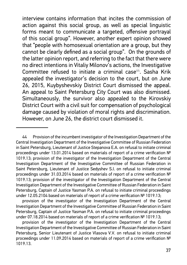interview contains information that incites the commission of action against this social group, as well as special linguistic forms meant to communicate a targeted, offensive portrayal of this social group". However, another expert opinion showed that "people with homosexual orientation are a group, but they cannot be clearly defined as a social group". On the grounds of the latter opinion report, and referring to the fact that there were no direct intentions in Vitaliy Milonov's actions, the Investigative Committee refused to initiate a criminal case $44$ . Sasha Krik appealed the investigator's decision to the court, but on June 26, 2015, Kuybyshevskiy District Court dismissed the appeal. An appeal to Saint Petersburg City Court was also dismissed. Simultaneously, the survivor also appealed to the Kirovskiy District Court with a civil suit for compensation of psychological damage caused by violation of moral rights and discrimination. However, on June 26, the district court dismissed it.

provision of the investigator of the Investigation Department of the Central Investigation Department of the Investigative Committee of Russian Federation in Saint Petersburg, Captain of Justice Yasman P.A. on refusal to initiate criminal proceedings under 07.18.2014 based on materials of report of a crime verification № 1019.13;

<sup>44</sup> Provision of the incumbent investigator of the Investigation Department of the Central Investigation Department of the Investigative Committee of Russian Federation in Saint Petersburg, Lieutenant of Justice Stepanova E.A. on refusal to initiate criminal proceedings under 13.01.2014 based on materials of report of a crime verification  $N<sup>°</sup>$ 1019.13; provision of the investigator of the Investigation Department of the Central Investigation Department of the Investigative Committee of Russian Federation in Saint Petersburg, Lieutenant of Justice Sedyshev S.I. on refusal to initiate criminal proceedings under 31.03.2014 based on materials of report of a crime verification  $N<sup>°</sup>$ 1019.13; provision of the investigator of the Investigation Department of the Central Investigation Department of the Investigative Committee of Russian Federation in Saint Petersburg, Captain of Justice Yasman P.A. on refusal to initiate criminal proceedings under 12.05.2104 based on materials of report of a crime verification № 1019.13;

provision of the investigator of the Investigation Department of the Central Investigation Department of the Investigative Committee of Russian Federation in Saint Petersburg, Senior Lieutenant of Justice Vlasova V.V. on refusal to initiate criminal proceedings under 11.09.2014 based on materials of report of a crime verification  $N<sup>°</sup>$ 1019.13.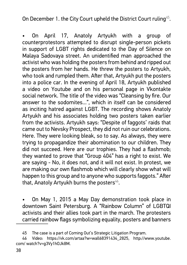On December 1. the City Court upheld the District Court ruling<sup>45</sup>.

• On April 17, Anatoly Artyukh with a group of counterprotestors attempted to disrupt single-person pickets in support of LGBT rights dedicated to the Day of Silence on Malaya Sadovaya street. An unidentified man approached the activist who was holding the posters from behind and ripped out the posters from her hands. He threw the posters to Artyukh, who took and rumpled them. After that, Artyukh put the posters into a police car. In the evening of April 18, Artyukh published a video on Youtube and on his personal page in Vkontakte social network. The title of the video was "Cleansing by fire. Our answer to the sodomites...", which in itself can be considered as inciting hatred against LGBT. The recording shows Anatoly Artyukh and his associates holding two posters taken earlier from the activists. Artyukh says: "Despite of faggots' raids that came out to Nevsky Prospect, they did not ruin our celebrations. Here. They were looking bleak, so to say. As always, they were trying to propagandize their abomination to our children. They did not succeed. Here are our trophies. They had a flashmob: they wanted to prove that "Group 404" has a right to exist. We are saying - No, it does not, and it will not exist. In protest, we are making our own flashmob which will clearly show what will happen to this group and to anyone who supports faggots." After that, Anatoly Artyukh burns the posters $46$ .

• On May 1, 2015 a May Day demonstration took place in downtown Saint Petersburg. A "Rainbow Column" of LGBTQI activists and their allies took part in the march. The protesters carried rainbow flags symbolizing equality, posters and banners

<sup>45</sup> The case is a part of Coming Out's Strategic Litigation Program.

<sup>46</sup> Video: https://vk.com/artaa?w=wall68391434\_2825, http://www.youtube. com/ watch?v=g3Vy1hOJk8M.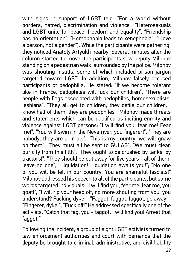with signs in support of LGBT (e.g. "For a world without borders, hatred, discrimination and violence", "Heterosexuals and LGBT unite for peace, freedom and equality", "Friendship has no orientation", "Homophobia leads to xenophobia", "I love a person, not a gender"). While the participants were gathering, they noticed Anatoly Artyukh nearby. Several minutes after the column started to move, the participants saw deputy Milonov standing on a pedestrian walk, surrounded by the police. Milonov was shouting insults, some of which included prison jargon targeted toward LGBT. In addition, Milonov falsely accused participants of pedophilia. He stated: "If we become tolerant like in France, pedophiles will fuck our children", "There are people with flags associated with pedophiles, homosexualists, lesbians", "They all get to children, they defile our children. I know half of them, they are pedophiles". Milonov made threats and statements which can be qualified as inciting enmity and violence against LGBT persons: "I will find you, fear me! Fear me!", "You will swim in the Neva river, you fingerer!", "They are nobody, they are animals", "This is my country, we will gnaw on them", "They must all be sent to GULAG", "We must clean our city from this filth", "They ought to be crushed by tanks, by tractors!", "They should be put away for five years - all of them, leave no one", "Liquidation! Liquidation awaits you!"; "No one of you will be left in our country! You are shameful fascists!" Milonov addressed his speech to all of the participants, but some words targeted individuals: "I will find you, fear me, fear me, you goat!", "I will rip your head off, no more shouting from you, you understand? Fucking dyke!", "Faggot, faggot, faggot, go away!", "Fingerer, dyke!", "Fuck off!" He addressed specifically one of the activists: "Catch that fag, you - faggot, I will find you! Arrest that faggot!"

Following the incident, a group of eight LGBT activists turned to law enforcement authorities and court with demands that the deputy be brought to criminal, administrative, and civil liability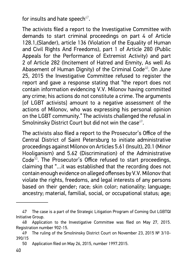for insults and hate speech $47$ .

The activists filed a report to the Investigative Committee with demands to start criminal proceedings on part 4 of Article 128.1,(Slander), article 136 (Violation of the Equality of Human and Civil Rights And Freedoms), part 1 of Article 280 (Public Appeals for the Performance of Extremist Activity) and part 2 of Article 282 (Incitement of Hatred and Enmity, As well As Abasement of Human Dignity) of the Criminal Code<sup>48</sup>. On June 25, 2015 the Investigative Committee refused to register the report and gave a response stating that "the report does not contain information evidencing V.V. Milonov having committed any crime; his actions do not constitute a crime. The arguments [of LGBT activists] amount to a negative assessment of the actions of Milonov, who was expressing his personal opinion on the LGBT community." The activists challenged the refusal in Smolninsky District Court but did not win the case<sup>49</sup>.

The activists also filed a report to the Prosecutor's Office of the Central District of Saint Petersburg to initiate administrative proceedings against Milonov on Articles 5.61 (Insult), 20.1 (Minor Hooliganism) and 5.62 (Discrimination) of the Administrative Code<sup>50</sup>. The Prosecutor's Office refused to start proceedings, claiming that "…it was established that the recording does not contain enough evidence on alleged offenses by V.V. Milonov that violate the rights, freedoms, and legal interests of any persons based on their gender; race; skin color; nationality; language; ancestry; material, familial, social, or occupational status; age;

<sup>47</sup> The case is a part of the Strategic Litigation Program of Coming Out LGBTQI Initiative Group.

<sup>48</sup> Application to the Investigative Committee was filed on May 27, 2015. Registration number 902-15.

<sup>49</sup> The ruling of the Smolninsky District Court on November 23, 2015 № 3/10-390/15

<sup>50</sup> Application filed on May 26, 2015, number 1997.2015.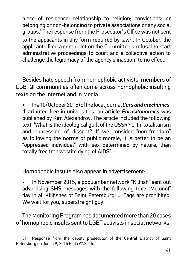place of residence; relationship to religion; convictions; or belonging or non-belonging to private associations or any social groups.' The response from the Prosecutor's Office was not sent to the applicants in any form required by law<sup>51</sup>. In October, the applicants filed a complaint on the Committee's refusal to start administrative proceedings to court and a collective action to challenge the legitimacy of the agency's inaction, to no effect.

Besides hate speech from homophobic activists, members of LGBTQI communities often come across homophobic insulting texts on the Internet and in Media.

• In #10 (October 2015) of the local journal *Cars and mechanics*, distributed free in universities, an article *Parasitonomics* was published by Kim Alexandrov. The article included the following text: 'What is the ideological guilt of the USSR? ... In totalitarism and oppression of dissent? If we consider "non-freedom" as following the norms of public morale, it is better to be an "oppressed individual" with sex determined by nature, than totally free transvestite dying of AIDS".

Homophobic insults also appear in advertisement:

• In November 2015, a popular bar network "Killfish" sent out advertising SMS messages with the following text: "Melonoff day in all Killfishes of Saint Petersburg! ... Fags are prohibited! We wait for you, superstraight guy!"

The Monitoring Program has documented more than 20 cases of homophobic insults sent to LGBT activists in social networks.

<sup>51</sup> Response from the deputy prosecutor of the Central District of Saint Petersburg on June 19, 2015 № 1997.2015.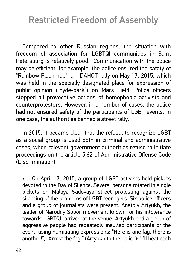## Restricted Freedom of Assembly

Compared to other Russian regions, the situation with freedom of association for LGBTQI communities in Saint Petersburg is relatively good. Communication with the police may be efficient: for example, the police ensured the safety of "Rainbow Flashmob", an IDAHOT rally on May 17, 2015, which was held in the specially designated place for expression of public opinion ("hyde-park") on Mars Field. Police officers stopped all provocative actions of homophobic activists and counterprotestors. However, in a number of cases, the police had not ensured safety of the participants of LGBT events. In one case, the authorities banned a street rally.

In 2015, it became clear that the refusal to recognize LGBT as a social group is used both in criminal and administrative cases, when relevant government authorities refuse to initiate proceedings on the article 5.62 of Administrative Offense Code (Discrimination).

• On April 17, 2015, a group of LGBT activists held pickets devoted to the Day of Silence. Several persons rotated in single pickets on Malaya Sadovaya street protesting against the silencing of the problems of LGBT teenagers. Six police officers and a group of journalists were present. Anatoly Artyukh, the leader of Narodny Sobor movement known for his intolerance towards LGBTQI, arrived at the venue. Artyukh and a group of aggressive people had repeatedly insulted participants of the event, using humiliating expressions: "Here is one fag, there is another!", "Arrest the fag!" (Artyukh to the police); "I'll beat each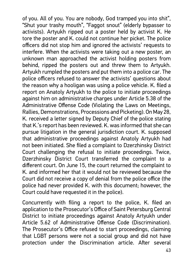of you. All of you. You are nobody, God tramped you into shit", "Shut your trashy mouth", "Faggot snout" (elderly bypasser to activists). Artyukh ripped out a poster held by activist K. He tore the poster and K. could not continue her picket. The police officers did not stop him and ignored the activists' requests to interfere. When the activists were taking out a new poster, an unknown man approached the activist holding posters from behind, ripped the posters out and threw them to Artyukh. Artyukh rumpled the posters and put them into a police car. The police officers refused to answer the activists' questions about the reason why a hooligan was using a police vehicle. K. filed a report on Anatoly Artyukh to the police to initiate proceedings against him on administrative charges under Article 5.38 of the Administrative Offense Code (Violating the Laws on Meetings, Rallies, Demonstrations, Processions and Picketing). On May 28, K. received a letter signed by Deputy Chief of the police stating that K.'s report has been reviewed. K. was informed that she can pursue litigation in the general jurisdiction court. K. supposed that administrative proceedings against Anatoly Artyukh had not been initiated. She filed a complaint to Dzerzhinsky District Court challenging the refusal to initiate proceedings. Twice, Dzerzhinsky District Court transferred the complaint to a different court. On June 15, the court returned the complaint to K. and informed her that it would not be reviewed because the Court did not receive a copy of denial from the police office (the police had never provided K. with this document; however, the Court could have requested it in the police).

Concurrently with filing a report to the police, K. filed an application to the Prosecutor's Office of Saint Petersburg Central District to initiate proceedings against Anatoly Artyukh under Article 5.62 of Administrative Offense Code (Discrimination). The Prosecutor's Office refused to start proceedings, claiming that LGBT persons were not a social group and did not have protection under the Discrimination article. After several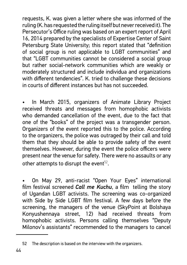requests, K. was given a letter where she was informed of the ruling (K. has requested the ruling itself but never received it). The Persecutor's Office ruling was based on an expert report of April 16, 2014 prepared by the specialists of Expertise Center of Saint Petersburg State University; this report stated that "definition of social group is not applicable to LGBT communities" and that "LGBT communities cannot be considered a social group but rather social-network communities which are weakly or moderately structured and include individua and organizations with different tendencies". K. tried to challenge these decisions in courts of different instances but has not succeeded.

In March 2015, organizers of Animate Library Project received threats and messages from homophobic activists who demanded cancellation of the event, due to the fact that one of the "books" of the project was a transgender person. Organizers of the event reported this to the police. According to the organizers, the police was outraged by their call and told them that they should be able to provide safety of the event themselves. However, during the event the police officers were present near the venue for safety. There were no assaults or any other attempts to disrupt the event $52$ .

• On May 29, anti-racist "Open Your Eyes" international film festival screened **Call me Kuchu**, a film telling the story of Ugandan LGBT activists. The screening was co-organized with Side by Side LGBT film festival. A few days before the screening, the managers of the venue (SkyPoint at Bolshaya Konyushennaya street, 12) had received threats from homophobic activists. Persons calling themselves "Deputy Milonov's assistants" recommended to the managers to cancel

<sup>52</sup> The description is based on the interview with the organizers.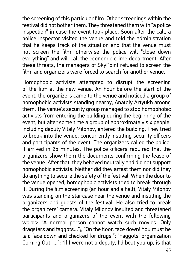the screening of this particular film. Other screenings within the festival did not bother them. They threatened them with "a police inspection" in case the event took place. Soon after the call, a police inspector visited the venue and told the administration that he keeps track of the situation and that the venue must not screen the film, otherwise the police will "close down everything" and will call the economic crime department. After these threats, the managers of SkyPoint refused to screen the film, and organizers were forced to search for another venue.

Homophobic activists attempted to disrupt the screening of the film at the new venue. An hour before the start of the event, the organizers came to the venue and noticed a group of homophobic activists standing nearby, Anatoly Artyukh among them. The venue's security group managed to stop homophobic activists from entering the building during the beginning of the event, but after some time a group of approximately six people, including deputy Vitaly Milonov, entered the building. They tried to break into the venue, concurrently insulting security officers and participants of the event. The organizers called the police; it arrived in 25 minutes. The police officers required that the organizers show them the documents confirming the lease of the venue. After that, they behaved neutrally and did not support homophobic activists. Neither did they arrest them nor did they do anything to secure the safety of the festival. When the door to the venue opened, homophobic activists tried to break through it. During the film screening (an hour and a half), Vitaly Milonov was standing on the staircase near the venue and insulting the organizers and guests of the festival. He also tried to break the organizers' camera. Vitaly Milonov insulted and threatened participants and organizers of the event with the following words: "A normal person cannot watch such movies. Only dragsters and faggots...";, "On the floor, face down! You must be laid face down and checked for drugs!"; "Faggots' organization Coming Out ..."; "If I were not a deputy, I'd beat you up, is that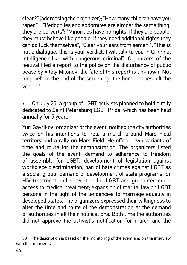clear?" (addressing the organizer); "How many children have you raped?"; "Pedophiles and sodomites are almost the same thing, they are perverts"; "Minorities have no rights. If they are people, they must behave like people, if they need additional rights they can go fuck themselves"; "Clear your ears from semen!"; "This is not a dialogue, this is your verdict, I will talk to you in Criminal Intelligence like with dangerous criminal". Organizers of the festival filed a report to the police on the disturbance of public peace by Vitaly Milonov; the fate of this report is unknown. Not long before the end of the screening, the homophobes left the venue $53$ .

• On July 25, a group of LGBT activists planned to hold a rally dedicated to Saint Petersburg LGBT Pride, which has been held annually for 5 years.

Yuri Gavrikov, organizer of the event, notified the city authorities twice on his intentions to hold a march around Mars Field territory and a rally on Mars Field. He offered two variants of time and route for the demonstration. The organizers listed the goals of the event: demand to adherence to freedom of assembly for LGBT, development of legislation against workplace discrimination, ban of hate crimes against LGBT as a social group; demand of development of state programs for HIV treatment and prevention for LGBT and guarantee equal access to medical treatment; expansion of marital law on LGBT persons in the light of the tendencies to marriage equality in developed states. The organizers expressed their willingness to alter the time and route of the demonstration at the demand of authorities in all their notifications. Both time the authorities did not approve the activist's notification for march and the

<sup>53</sup> The description is based on the monitoring of the event and on the interview with the organizers.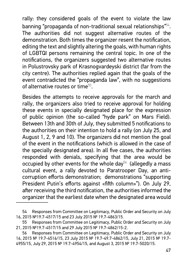rally: they considered goals of the event to violate the law banning "propaganda of non-traditional sexual relationships"<sup>54</sup>. The authorities did not suggest alternative routes of the demonstration. Both times the organizer resent the notification, editing the text and slightly altering the goals, with human rights of LGBTQI persons remaining the central topic. In one of the notifications, the organizers suggested two alternative routes in Polustrovsky park of Krasnogvardeyski district (far from the city centre). The authorities replied again that the goals of the event contradicted the "propaganda law", with no suggestions of alternative routes or time<sup>55</sup>.

Besides the attempts to receive approvals for the march and rally, the organizers also tried to receive approval for holding these events in specially designated place for the expression of public opinion (the so-called "hyde park" on Mars Field). Between 13th and 30th of July, they submitted 5 notifications to the authorities on their intention to hold a rally (on July 25, and August 1, 2, 9 and 10). The organizers did not mention the goal of the event in the notifications (which is allowed in the case of the specially designated area). In all five cases, the authorities responded with denials, specifying that the area would be occupied by other events for the whole day<sup>56</sup> (allegedly a mass cultural event, a rally devoted to Paratrooper Day, an anticorruption efforts demonstration; demonstrations "supporting President Putin's efforts against «fifth column»"). On July 29, after receiving the third notification, the authorities informed the organizer that the earliest date when the designated area would

<sup>54</sup> Responses from Committee on Legitimacy, Public Order and Security on July 16, 2015 №19.7-4517/15 and 23 July 2015 № 19.7-4863/15.

<sup>55</sup> Responses from Committee on Legitimacy, Public Order and Security on July 21, 2015 №19.7-4517/15 and 29 July 2015 № 19.7-4862/15-2.

<sup>56</sup> Responses from Committee on Legitimacy, Public Order and Security on July 16, 2015 № 19.7-4516/15, 23 July 2015 № 19.7-49.7-4862/15, July 21, 2015 № 19.7-4955/15, July 29, 2015 № 19.7-4954/15, and August 3, 2015 № 19.7-5020/15.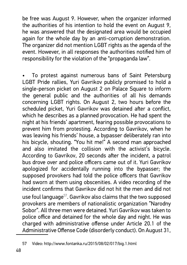be free was August 9. However, when the organizer informed the authorities of his intention to hold the event on August 9, he was answered that the designated area would be occupied again for the whole day by an anti-corruption demonstration. The organizer did not mention LGBT rights as the agenda of the event. However, in all responses the authorities notified him of responsibility for the violation of the "propaganda law".

• To protest against numerous bans of Saint Petersburg LGBT Pride rallies, Yuri Gavrikov publicly promised to hold a single-person picket on August 2 on Palace Square to inform the general public and the authorities of all his demands concerning LGBT rights. On August 2, two hours before the scheduled picket, Yuri Gavrikov was detained after a conflict, which he describes as a planned provocation. He had spent the night at his friends' apartment, fearing possible provocations to prevent him from protesting. According to Gavrikov, when he was leaving his friends' house, a bypasser deliberately ran into his bicycle, shouting. "You hit me!" A second man approached and also imitated the collision with the activist's bicycle. According to Gavrikov, 20 seconds after the incident, a patrol bus drove over and police officers came out of it. Yuri Gavrikov apologized for accidentally running into the bypasser; the supposed provokers had told the police officers that Gavrikov had sworn at them using obscenities. A video recording of the incident confirms that Gavrikov did not hit the men and did not use foul language $57$ . Gavrikov also claims that the two supposed provokers are members of nationalistic organization "Narodny Sobor". All three men were detained. Yuri Gavrikov was taken to police office and detained for the whole day and night. He was charged with administrative offense under Article 20.1 of the Administrative Offense Code (disorderly conduct). On August 31,

<sup>57</sup> Video: http://www.fontanka.ru/2015/08/02/017/big.1.html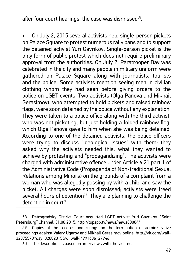after four court hearings, the case was dismissed $^{58}\!.$ 

• On July 2, 2015 several activists held single-person pickets on Palace Square to protest numerous rally bans and to support the detained activist Yuri Gavrikov. Single-person picket is the only form of public protest which does not require preliminary approval from the authorities. On July 2, Paratrooper Day was celebrated in the city and many people in military uniform were gathered on Palace Square along with journalists, tourists and the police. Some activists mention seeing men in civilian clothing whom they had seen before giving orders to the police on LGBT events. Two activists (Olga Panova and Mikhail Gerasimov), who attempted to hold pickets and raised rainbow flags, were soon detained by the police without any explanation. They were taken to a police office along with the third activist, who was not picketing, but just holding a folded rainbow flag, which Olga Panova gave to him when she was being detained. According to one of the detained activists, the police officers were trying to discuss "ideological issues" with them: they asked why the activists needed this, what they wanted to achieve by protesting and "propagandizing". The activists were charged with administrative offence under Article 6.21 part 1 of the Administrative Code (Propaganda of Non-traditional Sexual Relations among Minors) on the grounds of a complaint from a woman who was allegedly passing by with a child and saw the picket. All charges were soon dismissed; activists were freed several hours of detention<sup>59</sup>. They are planning to challenge the detention in court $60$ .

<sup>58</sup> Petrogradsky District Court acquitted LGBT activist Yuri Gavrikov: "Saint Petersburg" Channel, 31.08.2015: http://topspb.tv/news/news83084/

Copies of the records and rulings on the termination of administrative proceedings against Valery Ugarov and Mikhail Gerasimov online: http://vk.com/wall- 32875578?day=02082015&w=wall44991606\_27946.

<sup>60</sup> The description is based on interviews with the victims.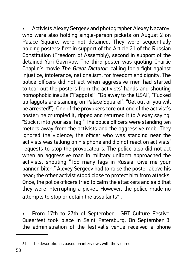• Activists Alexey Sergeev and photographer Alexey Nazarov, who were also holding single-person pickets on August 2 on Palace Square, were not detained. They were sequentially holding posters: first in support of the Article 31 of the Russian Constitution (Freedom of Assembly), second in support of the detained Yuri Gavrikov. The third poster was quoting Charlie Chaplin's movie *The Great Dictator*, calling for a fight against injustice, intolerance, nationalism, for freedom and dignity. The police officers did not act when aggressive men had started to tear out the posters from the activists' hands and shouting homophobic insults ("Faggots!", "Go away to the USA!", "Fucked up faggots are standing on Palace Square!", "Get out or you will be arrested!"). One of the provokers tore out one of the activist's poster; he crumpled it, ripped and returned it to Alexey saying: "Stick it into your ass, fag!" The police officers were standing ten meters away from the activists and the aggressive mob. They ignored the violence; the officer who was standing near the activists was talking on his phone and did not react on activists' requests to stop the provocateurs. The police also did not act when an aggressive man in military uniform approached the activists, shouting "Too many fags in Russia! Give me your banner, bitch!" Alexey Sergeev had to raise the poster above his head; the other activist stood close to protect him from attacks. Once, the police officers tried to calm the attackers and said that they were interrupting a picket. However, the police made no attempts to stop or detain the assailants $61$ .

• From 17th to 27th of September, LGBT Culture Festival Queerfest took place in Saint Petersburg. On September 3, the administration of the festival's venue received a phone

<sup>61</sup> The description is based on interviews with the victims.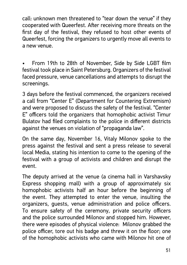call: unknown men threatened to "tear down the venue" if they cooperated with Queerfest. After receiving more threats on the first day of the festival, they refused to host other events of Queerfest, forcing the organizers to urgently move all events to a new venue.

• From 19th to 28th of November, Side by Side LGBT film festival took place in Saint Petersburg. Organizers of the festival faced pressure, venue cancellations and attempts to disrupt the screenings.

3 days before the festival commenced, the organizers received a call from "Center E" (Department for Countering Extremism) and were proposed to discuss the safety of the festival. "Center E" officers told the organizers that homophobic activist Timur Bulatov had filed complaints to the police in different districts against the venues on violation of "propaganda law".

On the same day, November 16, Vitaly Milonov spoke to the press against the festival and sent a press release to several local Media, stating his intention to come to the opening of the festival with a group of activists and children and disrupt the event.

The deputy arrived at the venue (a cinema hall in Varshavsky Express shopping mall) with a group of approximately six homophobic activists half an hour before the beginning of the event. They attempted to enter the venue, insulting the organizers, guests, venue administration and police officers. To ensure safety of the ceremony, private security officers and the police surrounded Milonov and stopped him. However, there were episodes of physical violence: Milonov grabbed the police officer, tore out his badge and threw it on the floor; one of the homophobic activists who came with Milonov hit one of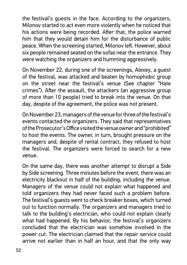the festival's guests in the face. According to the organizers, Milonov started to act even more violently when he noticed that his actions were being recorded. After that, the police warned him that they would detain him for the disturbance of public peace. When the screening started, Milonov left. However, about six people remained seated on the sofas near the entrance. They were watching the organizers and humming aggressively.

On November 22, during one of the screenings, Alexey, a guest of the festival, was attacked and beaten by homophobic group on the street near the festival's venue (See chapter "Hate crimes"). After the assault, the attackers (an aggressive group of more than 10 people) tried to break into the venue. On that day, despite of the agreement, the police was not present.

On November 23, managers of the venue for three of the festival's events contacted the organizers. They said that representatives of the Prosecutor's Office visited the venue owner and "prohibited" to host the events. The owner, in turn, brought pressure on the managers and, despite of rental contract, they refused to host the festival. The organizers were forced to search for a new venue.

On the same day, there was another attempt to disrupt a Side by Side screening. Three minutes before the event, there was an electricity blackout in half of the building, including the venue. Managers of the venue could not explain what happened and told organizers they had never faced such a problem before. The festival's guests went to check breaker boxes, which turned out to function normally. The organizers and managers tried to talk to the building's electrician, who could not explain clearly what had happened. By his behavior, the festival's organizers concluded that the electrician was somehow involved in the power cut. The electrician claimed that the repair service could arrive not earlier than in half an hour, and that the only way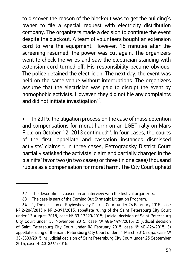to discover the reason of the blackout was to get the building's owner to file a special request with electricity distribution company. The organizers made a decision to continue the event despite the blackout. A team of volunteers bought an extension cord to wire the equipment. However, 15 minutes after the screening resumed, the power was cut again. The organizers went to check the wires and saw the electrician standing with extension cord turned off. His responsibility became obvious. The police detained the electrician. The next day, the event was held on the same venue without interruptions. The organizers assume that the electrician was paid to disrupt the event by homophobic activists. However, they did not file any complaints and did not initiate investigation $62$ .

In 2015, the litigation process on the case of mass detention and compensations for moral harm on an LGBT rally on Mars Field on October 12, 2013 continued $63$ . In four cases, the courts of the first, appellate and cassation instances dismissed activists' claims<sup>64</sup>. In three cases, Petrogradsky District Court partially satisfied the activists' claim and partially charged in the plainiffs' favor two (in two cases) or three (in one case) thousand rubles as a compensation for moral harm. The City Court upheld

<sup>62</sup> The description is based on an interview with the festival organizers.

<sup>63</sup> The case is part of the Coming Out Strategic Litigation Program.

<sup>64</sup> 1) The decision of Kuybyshevsky District Court under 26 February 2015, case Nº 2-284/2015 и № 2-391/2015; appellate ruling of the Saint Petersburg City Court under 12 August 2015, case № 33-13290/2015; judicial decision of Saint Petersburg City Court under 30 November 2015, case  $N<sup>°</sup>$  4Ga-4474/2015; 2) judicial decision of Saint Petersburg City Court under 06 February 2015, case № 4G-426/2015; 3) appellate ruling of the Saint Petersburg City Court under 11 March 2015 года, саѕе № 33-3383/2015; 4) judicial decision of Saint Petersburg City Court under 25 September 2015, case № 4G-3661/2015.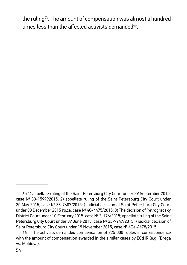the ruling<sup> $65$ </sup>. The amount of compensation was almost a hundred times less than the affected activists demanded<sup>66</sup>.

<sup>65 1)</sup> appellate ruling of the Saint Petersburg City Court under 29 September 2015, case  $N<sup>o</sup>$  33-159992015; 2) appellate ruling of the Saint Petersburg City Court under 20 May 2015, case № 33-7607/2015; ) judicial decision of Saint Petersburg City Court under 08 December 2015 года, case № 4G-4475/2015; 3) The decision of Petrogradsky District Court under 10 February 2015, case № 2-176/2015; appellate ruling of the Saint Petersburg City Court under 09 June 2015, case № 33-9247/2015; ) judicial decision of Saint Petersburg City Court under 19 November 2015, case № 4Ga-4478/2015.

<sup>66</sup> The activists demanded compensation of 225 000 rubles in correspondence with the amount of compensation awarded in the similar cases by ECtHR (e.g. "Brega vs. Moldova).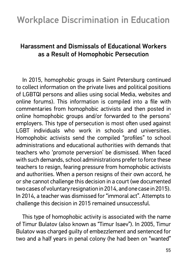### Harassment and Dismissals of Educational Workers as a Result of Homophobic Persecution

In 2015, homophobic groups in Saint Petersburg continued to collect information on the private lives and political positions of LGBTQI persons and allies using social Media, websites and online forums). This information is compiled into a file with commentaries from homophobic activists and then posted in online homophobic groups and/or forwarded to the persons' employers. This type of persecution is most often used against LGBT individuals who work in schools and universities. Homophobic activists send the compiled "profiles" to school administrations and educational authorities with demands that teachers who 'promote perversion' be dismissed. When faced with such demands, school administrations prefer to force these teachers to resign, fearing pressure from homophobic activists and authorities. When a person resigns of their own accord, he or she cannot challenge this decision in a court (we documented two cases of voluntary resignation in 2014, and one case in 2015). In 2014, a teacher was dismissed for "immoral act". Attempts to challenge this decision in 2015 remained unsuccessful.

This type of homophobic activity is associated with the name of Timur Bulatov (also known as "Timur Isaev"). In 2005, Timur Bulatov was charged guilty of embezzlement and sentenced for two and a half years in penal colony (he had been on "wanted"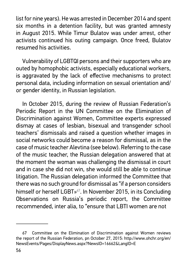list for nine years). He was arrested in December 2014 and spent six months in a detention facility, but was granted amnesty in August 2015. While Timur Bulatov was under arrest, other activists continued his outing campaign. Once freed, Bulatov resumed his activities.

Vulnerability of LGBTQI persons and their supporters who are outed by homophobic activists, especially educational workers, is aggravated by the lack of effective mechanisms to protect personal data, including information on sexual orientation and/ or gender identity, in Russian legislation.

In October 2015, during the review of Russian Federation's Periodic Report in the UN Committee on the Elimination of Discrimination against Women, Committee experts expressed dismay at cases of lesbian, bisexual and transgender school teachers' dismissals and raised a question whether images in social networks could become a reason for dismissal, as in the case of music teacher Alevtina (see below). Referring to the case of the music teacher, the Russian delegation answered that at the moment the woman was challenging the dismissal in court and in case she did not win, she would still be able to continue litigation. The Russian delegation informed the Committee that there was no such ground for dismissal as "if a person considers himself or herself LGBT»<sup>67</sup>. In November 2015, in its Concluding Observations on Russia's periodic report, the Committee recommended, inter alia, to "ensure that LBTI women are not

<sup>67</sup> Committee on the Elimination of Discrimination against Women reviews the report of the Russian Federation, pn October 27, 2015: http://www.ohchr.org/en/ NewsEvents/Pages/DisplayNews.aspx?NewsID=16662&LangID=E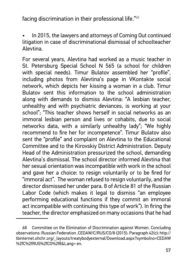facing discrimination in their professional life."<sup>68</sup>

• In 2015, the lawyers and attorneys of Coming Out continued litigation in case of discriminational dismissal of schoolteacher Alevtina.

For several years, Alevtina had worked as a music teacher in St. Petersburg Special School N 565 (a school for children with special needs). Timur Bulatov assembled her "profile", including photos from Alevtina's page in VKontakte social network, which depicts her kissing a woman in a club. Timur Bulatov sent this information to the school administration along with demands to dismiss Alevtina: "A lesbian teacher, unhealthy and with psychiatric deviances, is working at your school"; "This teacher shows herself in social networks as an immoral lesbian person and lives or cohabits, due to social networks data, with a similarly unhealthy lady"; "We highly recommend to fire her for incompetence". Timur Bulatov also sent the "profile" and complaint on Alevtina to the Educational Committee and to the Kirovskiy District Administration. Deputy Head of the Administration pressurized the school, demanding Alevtina's dismissal. The school director informed Alevtina that her sexual orientation was incompatible with work in the school and gave her a choice: to resign voluntarily or to be fired for "immoral act". The woman refused to resign voluntarily, and the director dismissed her under para. 8 of Article 81 of the Russian Labor Code (which makes it legal to dismiss "an employee performing educational functions if they commit an immoral act incompatible with continuing this type of work"). In firing the teacher, the director emphasized on many occasions that he had

<sup>68</sup> Committee on the Elimination of Discrimination against Women. Concluding observations: Russian Federation .CEDAW/C/RUS/CO/8 (2015). Paragraph 42(c): http:// tbinternet.ohchr.org/\_layouts/treatybodyexternal/Download.aspx?symbolno=CEDAW %2fC%2fRUS%2fCO%2f8&Lang= en.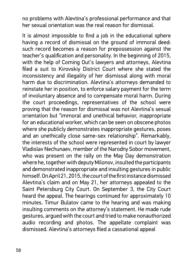no problems with Alevtina's professional performance and that her sexual orientation was the real reason for dismissal.

It is almost impossible to find a job in the educational sphere having a record of dismissal on the ground of immoral deed: such record becomes a reason for prepossession against the teacher's qualification and personality. In the beginning of 2015, with the help of Coming Out's lawyers and attorneys, Alevtina filed a suit to Kirovskiy District Court where she stated the inconsistency and illegality of her dismissal along with moral harm due to discrimination. Alevtina's attorneys demanded to reinstate her in position, to enforce salary payment for the term of involuntary absence and to compensate moral harm. During the court proceedings, representatives of the school were proving that the reason for dismissal was not Alevtina's sexual orientation but "immoral and unethical behavior, inappropriate for an educational worker, which can be seen on obscene photos where she publicly demonstrates inappropriate gestures, poses and an unethically close same-sex relationship". Remarkably, the interests of the school were represented in court by lawyer Vladislav Nechunaev, member of the Narodny Sobor movement, who was present on the rally on the May Day demonstration where he, together with deputy Milonov, insulted the participants and demonstrated inappropriate and insulting gestures in public himself. On April 21, 2015, the court of the first instance dismissed Alevtina's claim and on May 21, her attorneys appealed to the Saint Petersburg City Court. On September 3, the City Court heard the appeal. The hearings continued for approximately 10 minutes. Timur Bulatov came to the hearing and was making insulting comments on the attorney's statement. He made rude gestures, argued with the court and tried to make nonauthorized audio recording and photos. The appellate complaint was dismissed. Alevtina's attorneys filed a cassational appeal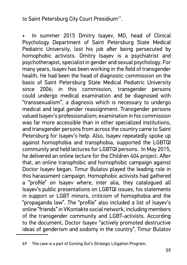#### to Saint Petersburg City Court Presidium<sup>69</sup>.

In summer 2015 Dmitry Isayev, MD, head of Clinical Psychology Department of Saint Petersburg State Medical Pediatric University, lost his job after being persecuted by homophobic activists. Dmitry Isayev is a psychiatrist and psychotherapist, specialist in gender and sexual psychology. For many years, Isayev has been working in the field of transgender health. He had been the head of diagnostic commission on the basis of Saint Petersburg State Medical Pediatric University since 2006; in this commission, transgender persons could undergo medical examination and be diagnosed with "transsexualism", a diagnosis which is necessary to undergo medical and legal gender reassignment. Transgender persons valued Isayev's professionalism; examination in his commission was far more accessible than in other specialized institutions, and transgender persons from across the country came to Saint Petersburg for Isayev's help. Also, Isayev repeatedly spoke up against homophobia and transphobia, supported the LGBTQI community and held lectures for LGBTQI persons. In May 2015, he delivered an online lecture for the Children 404 project. After that, an online transphobic and homophobic campaign against Doctor Isayev began. Timur Bulatov played the leading role in this harassment campaign. Homophobic activists had gathered a "profile" on Isayev where, inter alia, they catalogued all Isayev's public presentations on LGBTQI issues, his statements in support or LGBT minors, criticism of homophobia and the "propaganda law". The "profile" also included a list of Isayev's online "friends" in VKontakte social network, including members of the transgender community and LGBT-activists. According to the document, Doctor Isayev "actively promoted destructive ideas of genderism and sodomy in the country". Timur Bulatov

The case is a part of Coming Out's Strategic Litigation Program.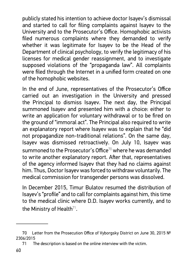publicly stated his intention to achieve doctor Isayev's dismissal and started to call for filing complaints against Isayev to the University and to the Prosecutor's Office. Homophobic activists filed numerous complaints where they demanded to verify whether it was legitimate for Isayev to be the Head of the Department of clinical psychology, to verify the legitimacy of his licenses for medical gender reassignment, and to investigate supposed violations of the "propaganda law". All complaints were filed through the Internet in a unified form created on one of the homophobic websites.

In the end of June, representatives of the Prosecutor's Office carried out an investigation in the University and pressed the Principal to dismiss Isayev. The next day, the Principal summoned Isayev and presented him with a choice: either to write an application for voluntary withdrawal or to be fired on the ground of "immoral act". The Principal also required to write an explanatory report where Isayev was to explain that he "did not propagandize non-traditional relations". On the same day, Isayev was dismissed retroactively. On July 10, Isayev was summoned to the Prosecutor's Office<sup>70</sup> where he was demanded to write another explanatory report. After that, representatives of the agency informed Isayev that they had no claims against him. Thus, Doctor Isayev was forced to withdraw voluntarily. The medical commission for transgender persons was dissolved.

In December 2015, Timur Bulatov resumed the distribution of lsayev's "profile" and to call for complaints against him, this time to the medical clinic where D.D. Isayev works currently, and to the Ministry of Health $71$ .

<sup>70</sup> Letter from the Prosecution Office of Vyborgsky District on June 30, 2015 № 2306/2015

<sup>71</sup> The description is based on the online interview with the victim.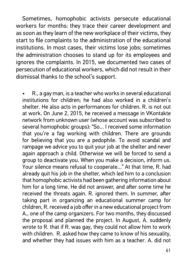Sometimes, homophobic activists persecute educational workers for months: they trace their career development and as soon as they learn of the new workplace of their victims, they start to file complaints to the administration of the educational institutions. In most cases, their victims lose jobs; sometimes the administration chooses to stand up for its employees and ignores the complaints. In 2015, we documented two cases of persecution of educational workers, which did not result in their dismissal thanks to the school's support.

• R., a gay man, is a teacher who works in several educational institutions for children; he had also worked in a children's shelter. He also acts in performances for children. R. is not out at work. On June 2, 2015, he received a message in VKontakte network from unknown user (whose account was subscribed to several homophobic groups): "So... I received some information that you're a fag working with children. There are grounds for believing that you are a pedophile. To avoid scandal and rampage we advice you to quit your job at the shelter and never again approach a child. Otherwise we will be forced to send a group to deactivate you. When you make a decision, inform us. Your silence means refusal to cooperate..." At that time, R. had already quit his job in the shelter, which led him to a conclusion that homophobic activists had been gathering information about him for a long time. He did not answer, and after some time he received the threats again. R. ignored them. In summer, after taking part in organizing an educational summer camp for children, R. received a job offer in a new educational project from A., one of the camp organizers. For two months, they discussed the proposal and planned the project. In August, A. suddenly wrote to R. that if R. was gay, they could not allow him to work with children. R. asked how they came to know of his sexuality, and whether they had issues with him as a teacher. A. did not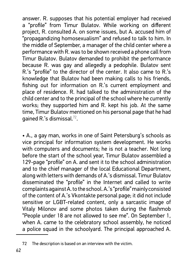answer. R. supposes that his potential employer had received a "profile" from Timur Bulatov. While working on different project, R. consulted A. on some issues, but A. accused him of "propagandizing homosexualism" and refused to talk to him. In the middle of September, a manager of the child center where a performance with R. was to be shown received a phone call from Timur Bulatov. Bulatov demanded to prohibit the performance because R. was gay and allegedly a pedophile. Bulatov sent R's "profile" to the director of the center. It also came to R's knowledge that Bulatov had been making calls to his friends, fishing out for information on R's current employment and place of residence. R. had talked to the administration of the child center and to the principal of the school where he currently works; they supported him and R. kept his job. At the same time, Timur Bulatov mentioned on his personal page that he had gained R.'s dismissal.<sup>72</sup>.

• A., a gay man, works in one of Saint Petersburg's schools as vice principal for information system development. He works with computers and documents; he is not a teacher. Not long before the start of the school year, Timur Bulatov assembled a 129-page "profile" on A. and sent it to the school administration and to the chief manager of the local Educational Department, along with letters with demands of A.'s dismissal. Timur Bulatov disseminated the "profile" in the Internet and called to write complaints against A. to the school. A.'s "profile" mainly consisted of the content of A.'s Vkontakte personal page; it did not include sensitive or LGBT-related content, only a sarcastic image of Vitaly Milonov and some photos taken during the flashmob "People under 18 are not allowed to see me". On September 1, when A. came to the celebratory school assembly, he noticed a police squad in the schoolyard. The principal approached A.

<sup>72</sup> The description is based on an interview with the victim.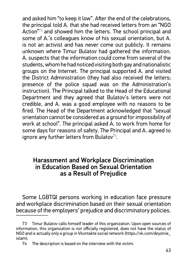and asked him "to keep it low". After the end of the celebrations, the principal told A. that she had received letters from an "NGO Action<sup>"73</sup> and showed him the letters. The school principal and some of A.'s colleagues know of his sexual orientation, but A. is not an activist and has never come out publicly. It remains unknown where Timur Bulatov had gathered the information. A. suspects that the information could come from several of the students, whom he had noticed visiting both gay and nationalistic groups on the Internet. The principal supported A. and visited the District Administration (they had also received the letters; presence of the police squad was on the Administration's instruction). The Principal talked to the Head of the Educational Department and they agreed that Bulatov's letters were not credible, and A. was a good employee with no reasons to be fired. The Head of the Department acknowledged that "sexual orientation cannot be considered as a ground for impossibility of work at school". The principal asked A. to work from home for some days for reasons of safety. The Principal and A. agreed to ignore any further letters from Bulatov $74$ .

#### Harassment and Workplace Discrimination in Education Based on Sexual Orientation as a Result of Prejudice

Some LGBTQI persons working in education face pressure and workplace discrimination based on their sexual orientation because of the employers' prejudice and discriminatory policies.

<sup>73</sup> Timur Bulatov calls himself leader of this organization. Upon open sources of information, this organization is not officially registered, does not have the status of NGO and is actually only a group in Vkontakte social network (https://vk.com/deystvie islam).

<sup>74</sup> The description is based on the interview with the victim.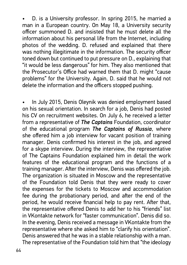• D. is a University professor. In spring 2015, he married a man in a European country. On May 18, a University security officer summoned D. and insisted that he must delete all the information about his personal life from the Internet, including photos of the wedding. D. refused and explained that there was nothing illegitimate in the information. The security officer toned down but continued to put pressure on D., explaining that "it would be less dangerous" for him. They also mentioned that the Prosecutor's Office had warned them that D. might "cause problems" for the University. Again, D. said that he would not delete the information and the officers stopped pushing.

• In July 2015, Denis Oleynik was denied employment based on his sexual orientation. In search for a job, Denis had posted his CV on recruitment websites. On July 6, he received a letter from a representative of *The Captains* Foundation, coordinator of the educational program *The Captains of Russia*, where she offered him a job interview for vacant position of training manager. Denis confirmed his interest in the job, and agreed for a skype interview. During the interview, the representative of The Captains Foundation explained him in detail the work features of the educational program and the functions of a training manager. After the interview, Denis was offered the job. The organization is situated in Moscow and the representative of the Foundation told Denis that they were ready to cover the expenses for the tickets to Moscow and accommodation fee during the probationary period, and after the end of the period, he would receive financial help to pay rent. After that, the representative offered Denis to add her to his "friends" list in VKontakte network for "faster communication". Denis did so. In the evening, Denis received a message in VKontakte from the representative where she asked him to "clarify his orientation". Denis answered that he was in a stable relationship with a man. The representative of the Foundation told him that "the ideology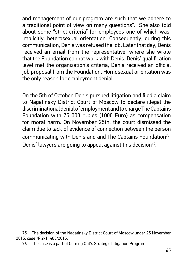and management of our program are such that we adhere to a traditional point of view on many questions". She also told about some "strict criteria" for employees one of which was, implicitly, heterosexual orientation. Consequently, during this communication, Denis was refused the job. Later that day, Denis received an email from the representative, where she wrote that the Foundation cannot work with Denis. Denis' qualification level met the organization's criteria; Denis received an official job proposal from the Foundation. Homosexual orientation was the only reason for employment denial.

On the 5th of October, Denis pursued litigation and filed a claim to Nagatinsky District Court of Moscow to declare illegal the discriminational denial of employment and to charge The Captains Foundation with 75 000 rubles (1000 Euro) as compensation for moral harm. On November 25th, the court dismissed the claim due to lack of evidence of connection between the person communicating with Denis and and The Captains Foundation<sup>75</sup>. Denis' lawyers are going to appeal against this decision<sup>76</sup>.

<sup>75</sup> The decision of the Nagatinsky District Court of Moscow under 25 November 2015, case № 2-11405/2015.

<sup>76</sup> The case is a part of Coming Out's Strategic Litigation Program.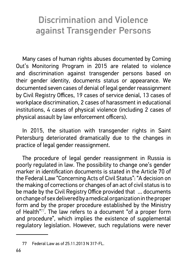# Discrimination and Violence against Transgender Persons

Many cases of human rights abuses documented by Coming Out's Monitoring Program in 2015 are related to violence and discrimination against transgender persons based on their gender identity, documents status or appearance. We documented seven cases of denial of legal gender reassignment by Civil Registry Offices, 19 cases of service denial, 13 cases of workplace discrimination, 2 cases of harassment in educational institutions, 4 cases of physical violence (including 2 cases of physical assault by law enforcement officers).

In 2015, the situation with transgender rights in Saint Petersburg deteriorated dramatically due to the changes in practice of legal gender reassignment.

The procedure of legal gender reassignment in Russia is poorly regulated in law. The possibility to change one's gender marker in identification documents is stated in the Article 70 of the Federal Law "Concerning Acts of Civil Status": "A decision on the making of corrections or changes of an act of civil status is to be made by the Civil Registry Office provided that ... documents on change of sex delivered by a medical organization in the proper form and by the proper procedure established by the Ministry of Health"<sup>77</sup>. The law refers to a document "of a proper form and procedure", which implies the existence of supplemental regulatory legislation. However, such regulations were never

<sup>77</sup> Federal Law as of 25.11.2013 N 317-FL.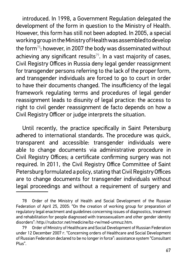introduced. In 1998, a Government Regulation delegated the development of the form in question to the Ministry of Health. However, this form has still not been adopted. In 2005, a special working group in the Ministry of Health was assembled to develop the form<sup>78</sup>; however, in 2007 the body was disseminated without achieving any significant results<sup>79</sup>. In a vast majority of cases, Civil Registry Offices in Russia deny legal gender reassignment for transgender persons referring to the lack of the proper form, and transgender individuals are forced to go to court in order to have their documents changed. The insufficiency of the legal framework regulating terms and procedures of legal gender reassignment leads to disunity of legal practice: the access to right to civil gender reassignment de facto depends on how a Civil Registry Officer or judge interprets the situation.

Until recently, the practice specifically in Saint Petersburg adhered to international standards. The procedure was quick, transparent and accessible: transgender individuals were able to change documents via administrative procedure in Civil Registry Offices; a certificate confirming surgery was not required. In 2011, the Civil Registry Office Committee of Saint Petersburg formulated a policy, stating that Civil Registry Offices are to change documents for transgender individuals without legal proceedings and without a requirement of surgery and

<sup>78</sup> Order of the Ministry of Health and Social Development of the Russian Federation of April 25, 2005: "On the creation of working group for preparation of regulatory legal enactment and guidelines concerning issues of diagnostics, treatment and rehabilitation for people diagnosed with transsexualism and other gender identity disorders": http://rudoctor.net/medicine/bz-rw/med-umnuz.htm.

Order of Ministry of Healthcare and Social Development of Russian Federation under 12 December 2007 r. "Concerning orders of Healthcare and Social Development of Russian Federation declared to be no longer in force": assistance system "Consultant Plus".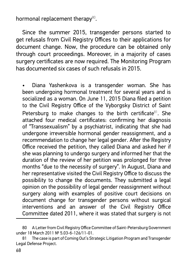hormonal replacement therapy $80$ .

Since the summer 2015, transgender persons started to get refusals from Civil Registry Offices to their applications for document change. Now, the procedure can be obtained only through court proceedings. Moreover, in a majority of cases surgery certificates are now required. The Monitoring Program has documented six cases of such refusals in 2015.

• Diana Yashenkova is a transgender woman. She has been undergoing hormonal treatment for several years and is socialized as a woman. On June 11, 2015 Diana filed a petition to the Civil Registry Office of the Vyborgsky District of Saint Petersburg to make changes to the birth certificate<sup>81</sup>. She attached four medical certificates: confirming her diagnosis of "Transsexualism" by a psychiatrist, indicating that she had undergone irreversible hormonal gender reassignment, and a recommendation to change her legal gender. After the Registry Office received the petition, they called Diana and asked her if she was planning to undergo surgery and informed her that the duration of the review of her petition was prolonged for three months "due to the necessity of surgery". In August, Diana and her representative visited the Civil Registry Office to discuss the possibility to change the documents. They submitted a legal opinion on the possibility of legal gender reassignment without surgery along with examples of positive court decisions on document change for transgender persons without surgical interventions and an answer of the Civil Registry Office Committee dated 2011, where it was stated that surgery is not

<sup>80</sup> A Letter from Civil Registry Office Committee of Saint-Petersburg Government under 18 March 2011 Nº 5.03-6-126/11-01.

<sup>81</sup> The case is part of Coming Out's Strategic Litigation Program and Transgender Legal Defense Project.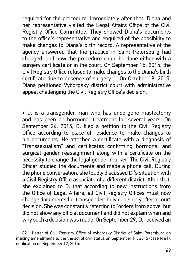required for the procedure. Immediately after that, Diana and her representative visited the Legal Affairs Office of the Civil Registry Office Committee. They showed Diana's documents to the office's representative and enguired of the possibility to make changes to Diana's birth record. A representative of the agency answered that the practice in Saint Petersburg had changed, and now the procedure could be done either with a surgery certificate or in the court. On September 15, 2015, the Civil Registry Office refused to make changes to the Diana's birth certificate due to absence of surgery $^{82}$ . On October 19, 2015, Diana petitioned Vyborgsky district court with administrative appeal challenging the Civil Registry Office's decision.

• D. is a transgender man who has undergone mastectomy and has been on hormonal treatment for several years. On September 24, 2015, D. filed a petition to the Civil Registry Office according to place of residence to make changes to his documents. He attached a certificate with a diagnosis of "Transsexualism" and certificates confirming hormonal and suraical gender reassignment along with a certificate on the necessity to change the legal gender marker. The Civil Registry Officer studied the documents and made a phone call. During the phone conversation, she loudly discussed D.'s situation with a Civil Registry Office associate of a different district. After that, she explained to D. that according to new instructions from the Office of Legal Affairs, all Civil Registry Offices must now change documents for transgender individuals only after a court decision. She was constantly referring to "orders from above" but did not show any official document and did not explain when and why such a decision was made. On September 29, D. received an

<sup>82</sup> Letter of Civil Registry Office of Vyborgsky District of Saint-Petersburg on making amendments to the the act of civil status on September 11, 2015 (case N 61), notification on September 12, 2015.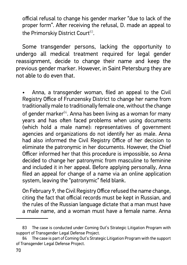official refusal to change his gender marker "due to lack of the proper form". After receiving the refusal, D. made an appeal to the Primorskiy District Court<sup>83</sup>.

Some transgender persons, lacking the opportunity to undergo all medical treatment required for legal gender reassignment, decide to change their name and keep the previous gender marker. However, in Saint Petersburg they are not able to do even that.

• Anna, a transgender woman, filed an appeal to the Civil Registry Office of Frunzensky District to change her name from traditionally male to traditionally female one, without the change of gender marker $84$ . Anna has been living as a woman for many years and has often faced problems when using documents (which hold a male name): representatives of government agencies and organizations do not identify her as male. Anna had also informed the Civil Registry Office of her decision to eliminate the patronymic in her documents. However, the Chief Officer informed her that this procedure is impossible, so Anna decided to change her patronymic from masculine to feminine and included it in her appeal. Before applying personally, Anna filed an appeal for change of a name via an online application system, leaving the "patronymic" field blank.

On February 9, the Civil Registry Office refused the name change, citing the fact that official records must be kept in Russian, and the rules of the Russian language dictate that a man must have a male name, and a woman must have a female name. Anna

<sup>83</sup> The case is conducted under Coming Out's Strategic Litigation Program with support of Transgender Legal Defense Project.

<sup>84</sup> The case is part of Coming Out's Strategic Litigation Program with the support of Transgender Legal Defense Project.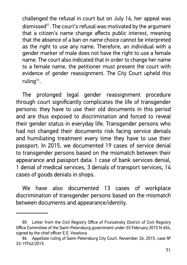challenged the refusal in court but on July 16, her appeal was dismissed $85$ . The court's refusal was motivated by the argument that a citizen's name change affects public interest, meaning that the absence of a ban on name choice cannot be interpreted as the right to use any name. Therefore, an individual with a gender marker of male does not have the right to use a female name. The court also indicated that in order to change her name to a female name, the petitioner must present the court with evidence of gender reassignment. The City Court upheld this ruling<sup>86</sup>.

The prolonged legal gender reassignment procedure through court significantly complicates the life of transgender persons: they have to use their old documents in this period and are thus exposed to discrimination and forced to reveal their gender status in everyday life. Transgender persons who had not changed their documents risk facing service denials and humiliating treatment every time they have to use their passport. In 2015, we documented 19 cases of service denial to transgender persons based on the mismatch between their appearance and passport data: 1 case of bank services denial, 1 denial of medical services, 3 denials of transport services, 14 cases of goods denials in shops.

We have also documented 13 cases of workplace discrimination of transgender persons based on the mismatch between documents and appearance/identity.

<sup>85</sup> Letter from the Civil Registry Office of Frunzensky District of Civil Registry Office Committee of the Saint-Petersburg government under 03 February 2015 N 654, signed by the chief officer E.E. Veselova

<sup>86</sup> Appellate ruling of Saint-Petersburg City Court. November 26, 2015, case № 33-19742/2015.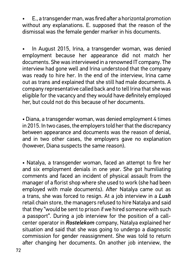• E., a transgender man, was fired after a horizontal promotion without any explanations. E. supposed that the reason of the dismissal was the female gender marker in his documents.

In August 2015, Irina, a transgender woman, was denied employment because her appearance did not match her documents. She was interviewed in a renowned IT company. The interview had gone well and Irina understood that the company was ready to hire her. In the end of the interview, Irina came out as trans and explained that she still had male documents. A company representative called back and to tell Irina that she was eligible for the vacancy and they would have definitely employed her, but could not do this because of her documents.

• Diana, a transgender woman, was denied employment 4 times in 2015. In two cases, the employers told her that the discrepancy between appearance and documents was the reason of denial, and in two other cases, the employers gave no explanation (however, Diana suspects the same reason).

• Natalya, a transgender woman, faced an attempt to fire her and six employment denials in one year. She got humiliating comments and faced an incident of physical assault from the manager of a florist shop where she used to work (she had been employed with male documents). After Natalya came out as a trans, she was forced to resign. At a job interview in a *Lush*  retail chain store, the managers refused to hire Natalya and said that they "would be sent to prison if we hired someone with such a passport". During a job interview for the position of a callcenter operator in *Rostelekom* company, Natalya explained her situation and said that she was going to undergo a diagnostic commission for gender reassignment. She was told to return after changing her documents. On another job interview, the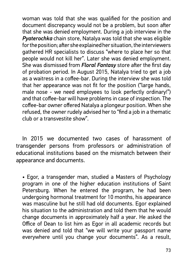woman was told that she was qualified for the position and document discrepancy would not be a problem, but soon after that she was denied employment. During a job interview in the *Pyaterochka* chain store, Natalya was told that she was eligible for the position; after she explained her situation, the interviewers gathered HR specialists to discuss "where to place her so that people would not kill her". Later she was denied employment. She was dismissed from *Floral Fantasy* store after the first day of probation period. In August 2015, Natalya tried to get a job as a waitress in a coffee-bar. During the interview she was told that her appearance was not fit for the position ("large hands, male nose - we need employees to look perfectly ordinary!") and that coffee-bar will have problems in case of inspection. The coffee-bar owner offered Natalya a plongeur position. When she refused, the owner rudely advised her to "find a job in a thematic club or a transvestite show".

In 2015 we documented two cases of harassment of transgender persons from professors or administration of educational institutions based on the mismatch between their appearance and documents.

• Egor, a transgender man, studied a Masters of Psychology program in one of the higher education institutions of Saint Petersburg. When he entered the program, he had been undergoing hormonal treatment for 10 months, his appearance was masculine but he still had old documents. Egor explained his situation to the administration and told them that he would change documents in approximately half a year. He asked the Office of Dean to list him as Egor in all academic records but was denied and told that "we will write your passport name everywhere until you change your documents". As a result,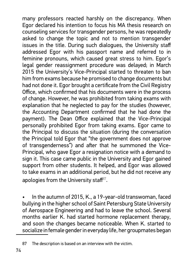many professors reacted harshly on the discrepancy. When Egor declared his intention to focus his MA thesis research on counseling services for transgender persons, he was repeatedly asked to change the topic and not to mention transgender issues in the title. During such dialogues, the University staff addressed Egor with his passport name and referred to in feminine pronouns, which caused great stress to him. Egor's legal gender reassignment procedure was delayed; in March 2015 the University's Vice-Principal started to threaten to ban him from exams because he promised to change documents but had not done it. Egor brought a certificate from the Civil Registry Office, which confirmed that his documents were in the process of change. However, he was prohibited from taking exams with explanation that he neglected to pay for the studies (however, the Accounting Department confirmed that he had done the payment). The Dean Office explained that the Vice-Principal personally prohibited Egor from taking exams. Egor came to the Principal to discuss the situation (during the conversation the Principal told Egor that "the government does not approve of transgenderness") and after that he summoned the Vice-Principal, who gave Egor a resignation notice with a demand to sign it. This case came public in the University and Egor gained support from other students. It helped, and Egor was allowed to take exams in an additional period, but he did not receive any apologies from the University staff $^{87}$ .

• In the autumn of 2015, K., a 19-year-old transwoman, faced bullying in the higher school of Saint Petersburg State University of Aerospace Engineering and had to leave the school. Several months earlier K. had started hormone replacement therapy, and soon the changes became noticeable. When K. started to socialize in female gender in everyday life, her groupmates began

<sup>87</sup> The description is based on an interview with the victim.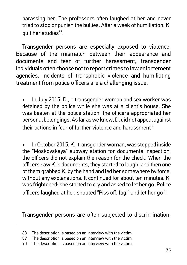harassing her. The professors often laughed at her and never tried to stop or punish the bullies. After a week of humiliation, K. quit her studies<sup>88</sup>.

Transgender persons are especially exposed to violence. Because of the mismatch between their appearance and documents and fear of further harassment, transgender individuals often choose not to report crimes to law enforcement agencies. Incidents of transphobic violence and humiliating treatment from police officers are a challenging issue.

• In July 2015, D., a transgender woman and sex worker was detained by the police while she was at a client's house. She was beaten at the police station; the officers appropriated her personal belongings. As far as we know, D. did not appeal against their actions in fear of further violence and harassment $89$ .

• In October 2015, K., transgender woman, was stopped inside the "Moskovskaya" subway station for documents inspection; the officers did not explain the reason for the check. When the officers saw K.'s documents, they started to laugh, and then one of them grabbed K. by the hand and led her somewhere by force, without any explanations. It continued for about ten minutes. K. was frightened; she started to cry and asked to let her go. Police officers laughed at her, shouted "Piss off, fag!" and let her go $^{\%}$ .

Transgender persons are often subjected to discrimination,

<sup>88</sup> The description is based on an interview with the victim.

The description is based on an interview with the victim.

The description is based on an interview with the victim.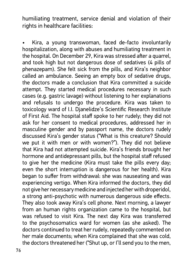humiliating treatment, service denial and violation of their rights in healthcare facilities:

• Kira, a young transwoman, faced de-facto involuntarily hospitalization, along with abuses and humiliating treatment in the hospital. On December 29, Kira was stressed after a quarrel, and took high but not dangerous dose of sedatives (4 pills of phenazepam). She felt sick from the pills, and Kira's neighbor called an ambulance. Seeing an empty box of sedative drugs, the doctors made a conclusion that Kira committed a suicide attempt. They started medical procedures necessary in such cases (e.g. gastric lavage) without listening to her explanations and refusals to undergo the procedure. Kira was taken to toxicology ward of I.I. Dianelidze's Scientific Research Institute of First Aid. The hospital staff spoke to her rudely; they did not ask for her consent to medical procedures, addressed her in masculine gender and by passport name, the doctors rudely discussed Kira's gender status ("What is this creature? Should we put it with men or with women?"). They did not believe that Kira had not attempted suicide. Kira's friends brought her hormone and antidepressant pills, but the hospital staff refused to give her the medicine (Kira must take the pills every day; even the short interruption is dangerous for her health). Kira began to suffer from withdrawal: she was nauseating and was experiencing vertigo. When Kira informed the doctors, they did not give her necessary medicine and injected her with droperidol, a strong anti-psychotic with numerous dangerous side effects. They also took away Kira's cell phone. Next morning, a lawyer from an human rights organization came to the hospital, but was refused to visit Kira. The next day Kira was transferred to the psychosomatics ward for women (as she asked). The doctors continued to treat her rudely, repeatedly commented on her male documents; when Kira complained that she was cold, the doctors threatened her ("Shut up, or I'll send you to the men,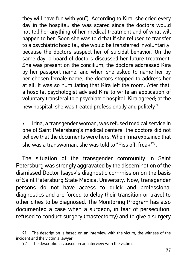they will have fun with you"). According to Kira, she cried every day in the hospital: she was scared since the doctors would not tell her anything of her medical treatment and of what will happen to her. Soon she was told that if she refused to transfer to a psychiatric hospital, she would be transferred involuntarily, because the doctors suspect her of suicidal behavior. On the same day, a board of doctors discussed her future treatment. She was present on the concilium; the doctors addressed Kira by her passport name, and when she asked to name her by her chosen female name, the doctors stopped to address her at all. It was so humiliating that Kira left the room. After that, a hospital psychologist advised Kira to write an application of voluntary transferal to a psychiatric hospital. Kira agreed; at the new hospital, she was treated professionally and politely<sup>91</sup>.

• Irina, a transgender woman, was refused medical service in one of Saint Petersburg's medical centers: the doctors did not believe that the documents were hers. When Irina explained that she was a transwoman, she was told to "Piss off, freak" $^{\%2}.$ 

The situation of the transgender community in Saint Petersburg was strongly aggravated by the dissemination of the dismissed Doctor Isayev's diagnostic commission on the basis of Saint Petersburg State Medical University. Now, transgender persons do not have access to quick and professional diagnostics and are forced to delay their transition or travel to other cities to be diagnosed. The Monitoring Program has also documented a case when a surgeon, in fear of persecution, refused to conduct surgery (mastectomy) and to give a surgery

<sup>91</sup> The description is based on an interview with the victim, the witness of the incident and the victim's lawyer.

<sup>92</sup> The description is based on an interview with the victim.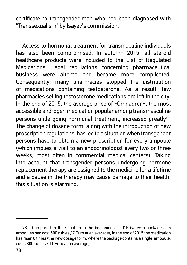certificate to transgender man who had been diagnosed with "Transsexualism" by Isayev's commission.

Access to hormonal treatment for transmaculine individuals has also been compromised. In autumn 2015, all steroid healthcare products were included to the List of Regulated Medications. Legal regulations concerning pharmaceutical business were altered and became more complicated. Consequently, many pharmacies stopped the distribution of medications containing testosterone. As a result, few pharmacies selling testosterone medications are left in the city. In the end of 2015, the average price of «Omnadren», the most accessible androgen medication popular among transmasculine persons undergoing hormonal treatment, increased greatly<sup>93</sup>. The change of dosage form, along with the introduction of new proscription regulations, has led to a situation when transgender persons have to obtain a new proscription for every ampoule (which implies a visit to an endocrinologist every two or three weeks, most often in commercial medical centers). Taking into account that transgender persons undergoing hormone replacement therapy are assigned to the medicine for a lifetime and a pause in the therapy may cause damage to their health, this situation is alarming.

Compared to the situation in the beginning of 2015 (when a package of 5 ampoules had cost 500 rubles / 7 Euro at an average), in the end of 2015 the medication has risen 8 times (the new dosage form, where the package contains a single ampoule, costs 800 rubles / 11 Euro at an average).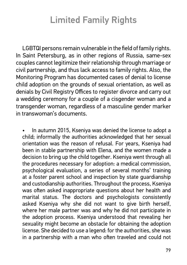# Limited Family Rights

LGBTQI persons remain vulnerable in the field of family rights. In Saint Petersburg, as in other regions of Russia, same-sex couples cannot legitimize their relationship through marriage or civil partnership, and thus lack access to family rights. Also, the Monitoring Program has documented cases of denial to license child adoption on the grounds of sexual orientation, as well as denials by Civil Registry Offices to register divorce and carry out a wedding ceremony for a couple of a cisgender woman and a transgender woman, regardless of a masculine gender marker in transwoman's documents.

• In autumn 2015, Kseniya was denied the license to adopt a child; informally the authorities acknowledged that her sexual orientation was the reason of refusal. For years, Kseniya had been in stable partnership with Elena, and the women made a decision to bring up the child together. Kseniya went through all the procedures necessary for adoption: a medical commission, psychological evaluation, a series of several months' training at a foster parent school and inspection by state guardianship and custodianship authorities. Throughout the process, Kseniya was often asked inappropriate questions about her health and marital status. The doctors and psychologists consistently asked Kseniya why she did not want to give birth herself, where her male partner was and why he did not participate in the adoption process. Kseniya understood that revealing her sexuality might become an obstacle for obtaining the adoption license. She decided to use a legend: for the authorities, she was in a partnership with a man who often traveled and could not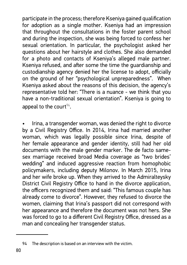participate in the process; therefore Kseniya gained qualification for adoption as a single mother. Kseniya had an impression that throughout the consultations in the foster parent school and during the inspection, she was being forced to confess her sexual orientation. In particular, the psychologist asked her questions about her hairstyle and clothes. She also demanded for a photo and contacts of Kseniya's alleged male partner. Kseniya refused, and after some the time the guardianship and custodianship agency denied her the license to adopt, officially on the ground of her "psychological unpreparedness". When Kseniya asked about the reasons of this decision, the agency's representative told her: "There is a nuance - we think that you have a non-traditional sexual orientation". Kseniya is going to appeal to the court<sup>94</sup>.

• Irina, a transgender woman, was denied the right to divorce by a Civil Registry Office. In 2014, Irina had married another woman, which was legally possible since Irina, despite of her female appearance and gender identity, still had her old documents with the male gender marker. The de facto samesex marriage received broad Media coverage as "two brides' wedding" and induced aggressive reaction from homophobic policymakers, including deputy Milonov. In March 2015, Irina and her wife broke up. When they arrived to the Admiralteysky District Civil Registry Office to hand in the divorce application, the officers recognized them and said: "This famous couple has already come to divorce". However, they refused to divorce the women, claiming that Irina's passport did not correspond with her appearance and therefore the document was not hers. She was forced to go to a different Civil Registry Office, dressed as a man and concealing her transgender status.

<sup>94</sup> The description is based on an interview with the victim.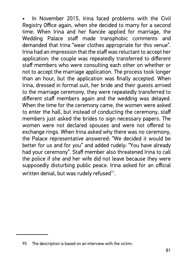In November 2015, Irina faced problems with the Civil Registry Office again, when she decided to marry for a second time. When Irina and her fiancée applied for marriage, the Wedding Palace staff made transphobic comments and demanded that Irina "wear clothes appropriate for this venue". Irina had an impression that the staff was reluctant to accept her application: the couple was repeatedly transferred to different staff members who were consulting each other on whether or not to accept the marriage application. The process took longer than an hour, but the application was finally accepted. When Irina, dressed in formal suit, her bride and their guests arrived to the marriage ceremony, they were repeatedly transferred to different staff members again and the wedding was delayed. When the time for the ceremony came, the women were asked to enter the hall, but instead of conducting the ceremony, staff members just asked the brides to sign necessary papers. The women were not declared spouses and were not offered to exchange rings. When Irina asked why there was no ceremony, the Palace representative answered: "We decided it would be better for us and for you" and added rudely: "You have already had your ceremony". Staff member also threatened Irina to call the police if she and her wife did not leave because they were supposedly disturbing public peace. Irina asked for an official written denial, but was rudely refused $95$ .

<sup>95</sup> The description is based on an interview with the victim.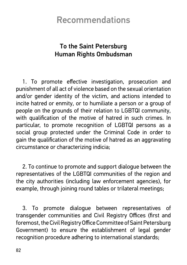# **Recommendations**

## To the Saint Petersburg Human Rights Ombudsman

1. To promote effective investigation, prosecution and punishment of all act of violence based on the sexual orientation and/or gender identity of the victim, and actions intended to incite hatred or enmity, or to humiliate a person or a group of people on the grounds of their relation to LGBTQI community. with qualification of the motive of hatred in such crimes. In particular, to promote recognition of LGBTQI persons as a social group protected under the Criminal Code in order to gain the qualification of the motive of hatred as an aggravating circumstance or characterizing indicia:

2. To continue to promote and support dialoque between the representatives of the LGBTQI communities of the region and the city authorities (including law enforcement agencies), for example, through joining round tables or trilateral meetings;

3. To promote dialoque between representatives of transgender communities and Civil Registry Offices (first and foremost, the Civil Registry Office Committee of Saint Petersburg Government) to ensure the establishment of legal gender recognition procedure adhering to international standards;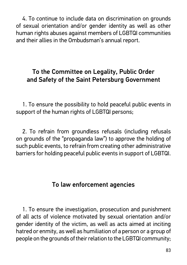4. To continue to include data on discrimination on grounds of sexual orientation and/or gender identity as well as other human rights abuses against members of LGBTQI communities and their allies in the Ombudsman's annual report.

## To the Committee on Legality, Public Order and Safety of the Saint Petersburg Government

1. To ensure the possibility to hold peaceful public events in support of the human rights of LGBTQI persons;

2. To refrain from groundless refusals (including refusals on grounds of the "propaganda law") to approve the holding of such public events, to refrain from creating other administrative barriers for holding peaceful public events in support of LGBTQI.

### To law enforcement agencies

1. To ensure the investigation, prosecution and punishment of all acts of violence motivated by sexual orientation and/or gender identity of the victim, as well as acts aimed at inciting hatred or enmity, as well as humiliation of a person or a group of people on the grounds of their relation to the LGBTQI community;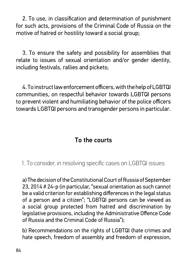2. To use, in classification and determination of punishment for such acts, provisions of the Criminal Code of Russia on the motive of hatred or hostility toward a social group;

3. To ensure the safety and possibility for assemblies that relate to issues of sexual orientation and/or gender identity, including festivals, rallies and pickets;

4. To instruct law enforcement officers, with the help of LGBTQI communities, on respectful behavior towards LGBTQI persons to prevent violent and humiliating behavior of the police officers towards LGBTQI persons and transgender persons in particular.

### To the courts

1. To consider, in resolving specific cases on LGBTQI issues:

a) The decision of the Constitutional Court of Russia of September 23, 2014 # 24-p (in particular, "sexual orientation as such cannot be a valid criterion for establishing differences in the legal status of a person and a citizen"; "LGBTQI persons can be viewed as a social group protected from hatred and discrimination by legislative provisions, including the Administrative Offence Code of Russia and the Criminal Code of Russia");

b) Recommendations on the rights of LGBTQI (hate crimes and hate speech, freedom of assembly and freedom of expression,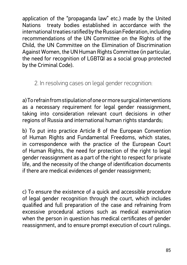application of the "propaganda law" etc.) made by the United Nations treaty bodies established in accordance with the international treaties ratified by the Russian Federation, including recommendations of the UN Committee on the Rights of the Child, the UN Committee on the Elimination of Discrimination Against Women, the UN Human Rights Committee (in particular, the need for recognition of LGBTQI as a social group protected by the Criminal Code).

2. In resolving cases on legal gender recognition.

a) To refrain from stipulation of one or more surgical interventions as a necessary requirement for legal gender reassignment. taking into consideration relevant court decisions in other regions of Russia and international human rights standards;

b) To put into practice Article 8 of the European Convention of Human Rights and Fundamental Freedoms, which states, in correspondence with the practice of the European Court of Human Rights, the need for protection of the right to legal gender reassignment as a part of the right to respect for private life, and the necessity of the change of identification documents if there are medical evidences of gender reassignment;

c) To ensure the existence of a quick and accessible procedure of legal gender recognition through the court, which includes qualified and full preparation of the case and refraining from excessive procedural actions such as medical examination when the person in question has medical certificates of gender reassignment, and to ensure prompt execution of court rulings.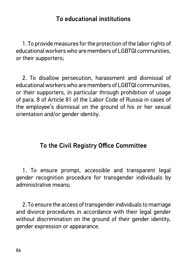#### To educational institutions

1. To provide measures for the protection of the labor rights of educational workers who are members of LGBTQI communities. or their supporters:

2. To disallow persecution, harassment and dismissal of educational workers who are members of LGBTQL communities. or their supporters, in particular through prohibition of usage of para. 8 of Article 81 of the Labor Code of Russia in cases of the employee's dismissal on the ground of his or her sexual orientation and/or gender identity.

### To the Civil Registry Office Committee

1. To ensure prompt, accessible and transparent legal gender recognition procedure for transgender individuals by administrative means:

2. To ensure the access of transgender individuals to marriage and divorce procedures in accordance with their legal gender without discrimination on the ground of their gender identity, gender expression or appearance.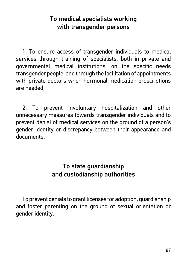### To medical specialists working with transgender persons

1. To ensure access of transgender individuals to medical services through training of specialists, both in private and governmental medical institutions, on the specific needs transgender people, and through the facilitation of appointments with private doctors when hormonal medication proscriptions are needed;

2. To prevent involuntary hospitalization and other unnecessary measures towards transgender individuals and to prevent denial of medical services on the ground of a person's gender identity or discrepancy between their appearance and documents.

#### To state guardianship and custodianship authorities

To prevent denials to grant licenses for adoption, guardianship and foster parenting on the ground of sexual orientation or gender identity.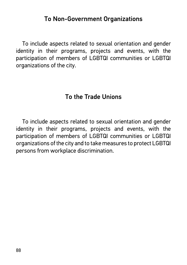#### To Non-Government Organizations

To include aspects related to sexual orientation and gender identity in their programs, projects and events, with the participation of members of LGBTQI communities or LGBTQI organizations of the city.

#### To the Trade Unions

To include aspects related to sexual orientation and gender identity in their programs, projects and events, with the participation of members of LGBTQI communities or LGBTQI organizations of the city and to take measures to protect LGBTQI persons from workplace discrimination.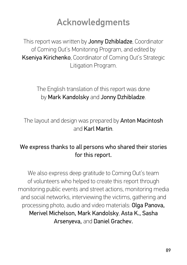# Acknowledgments

This report was written by **Jonny Dzhibladze**, Coordinator of Coming Out's Monitoring Program, and edited by **Kseniya Kirichenko**, Coordinator of Coming Out's Strategic Litigation Program.

The English translation of this report was done by Mark Kandolsky and Jonny Dzhibladze.

The layout and design was prepared by Anton Macintosh and Karl Martin.

### We express thanks to all persons who shared their stories for this report.

We also express deep gratitude to Coming Out's team of volunteers who helped to create this report through monitoring public events and street actions, monitoring media and social networks, interviewing the victims, gathering and processing photo, audio and video materials: Olga Panova, Merivel Michelson, Mark Kandolsky, Asta K., Sasha Arsenyeva, and Daniel Grachev.